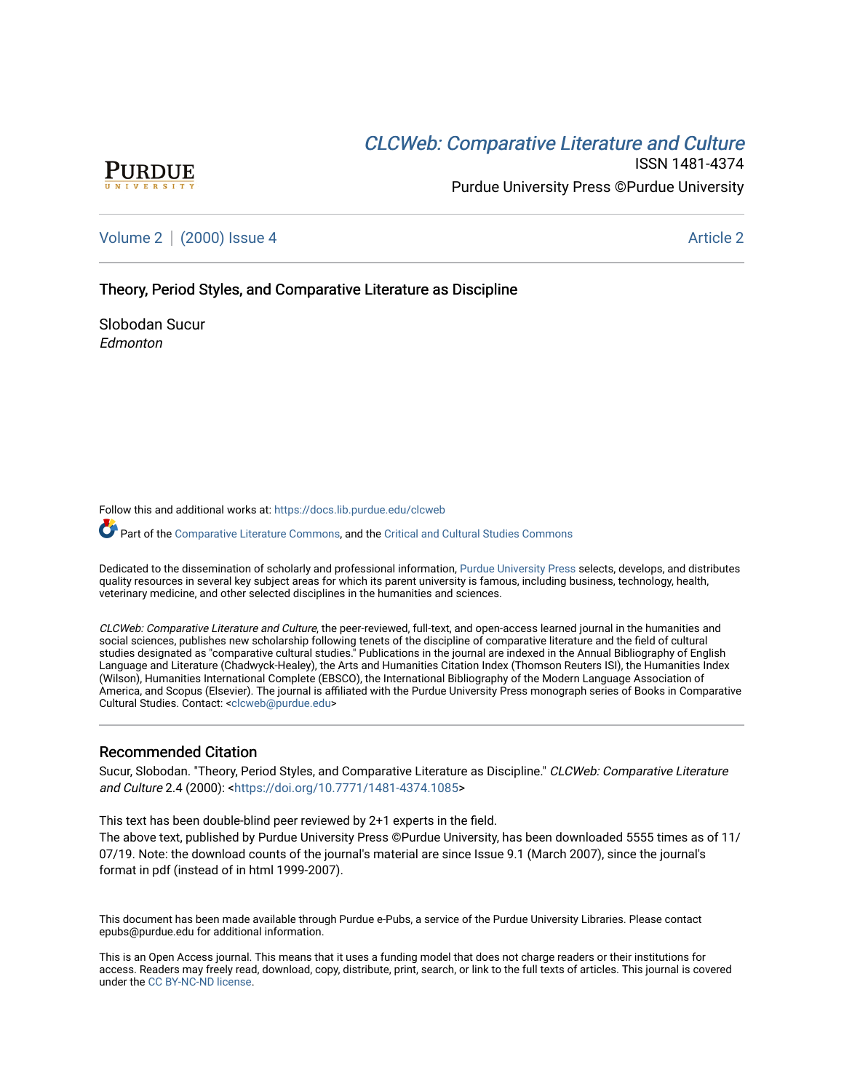# CLCW[eb: Comparative Liter](https://docs.lib.purdue.edu/clcweb)ature and Culture



ISSN 1481-4374 Purdue University Press ©Purdue University

[Volume 2](https://docs.lib.purdue.edu/clcweb/vol2) | [\(2000\) Issue 4](https://docs.lib.purdue.edu/clcweb/vol2/iss4) Article 2

Theory, Period Styles, and Comparative Literature as Discipline

Slobodan Sucur Edmonton

Follow this and additional works at: [https://docs.lib.purdue.edu/clcweb](https://docs.lib.purdue.edu/clcweb?utm_source=docs.lib.purdue.edu%2Fclcweb%2Fvol2%2Fiss4%2F2&utm_medium=PDF&utm_campaign=PDFCoverPages)

Part of the [Comparative Literature Commons,](http://network.bepress.com/hgg/discipline/454?utm_source=docs.lib.purdue.edu%2Fclcweb%2Fvol2%2Fiss4%2F2&utm_medium=PDF&utm_campaign=PDFCoverPages) and the [Critical and Cultural Studies Commons](http://network.bepress.com/hgg/discipline/328?utm_source=docs.lib.purdue.edu%2Fclcweb%2Fvol2%2Fiss4%2F2&utm_medium=PDF&utm_campaign=PDFCoverPages) 

Dedicated to the dissemination of scholarly and professional information, [Purdue University Press](http://www.thepress.purdue.edu/) selects, develops, and distributes quality resources in several key subject areas for which its parent university is famous, including business, technology, health, veterinary medicine, and other selected disciplines in the humanities and sciences.

CLCWeb: Comparative Literature and Culture, the peer-reviewed, full-text, and open-access learned journal in the humanities and social sciences, publishes new scholarship following tenets of the discipline of comparative literature and the field of cultural studies designated as "comparative cultural studies." Publications in the journal are indexed in the Annual Bibliography of English Language and Literature (Chadwyck-Healey), the Arts and Humanities Citation Index (Thomson Reuters ISI), the Humanities Index (Wilson), Humanities International Complete (EBSCO), the International Bibliography of the Modern Language Association of America, and Scopus (Elsevier). The journal is affiliated with the Purdue University Press monograph series of Books in Comparative Cultural Studies. Contact: [<clcweb@purdue.edu](mailto:clcweb@purdue.edu)>

# Recommended Citation

Sucur, Slobodan. "Theory, Period Styles, and Comparative Literature as Discipline." CLCWeb: Comparative Literature and Culture 2.4 (2000): [<https://doi.org/10.7771/1481-4374.1085>](https://doi.org/10.7771/1481-4374.1085)

This text has been double-blind peer reviewed by 2+1 experts in the field.

The above text, published by Purdue University Press ©Purdue University, has been downloaded 5555 times as of 11/ 07/19. Note: the download counts of the journal's material are since Issue 9.1 (March 2007), since the journal's format in pdf (instead of in html 1999-2007).

This document has been made available through Purdue e-Pubs, a service of the Purdue University Libraries. Please contact epubs@purdue.edu for additional information.

This is an Open Access journal. This means that it uses a funding model that does not charge readers or their institutions for access. Readers may freely read, download, copy, distribute, print, search, or link to the full texts of articles. This journal is covered under the [CC BY-NC-ND license.](https://creativecommons.org/licenses/by-nc-nd/4.0/)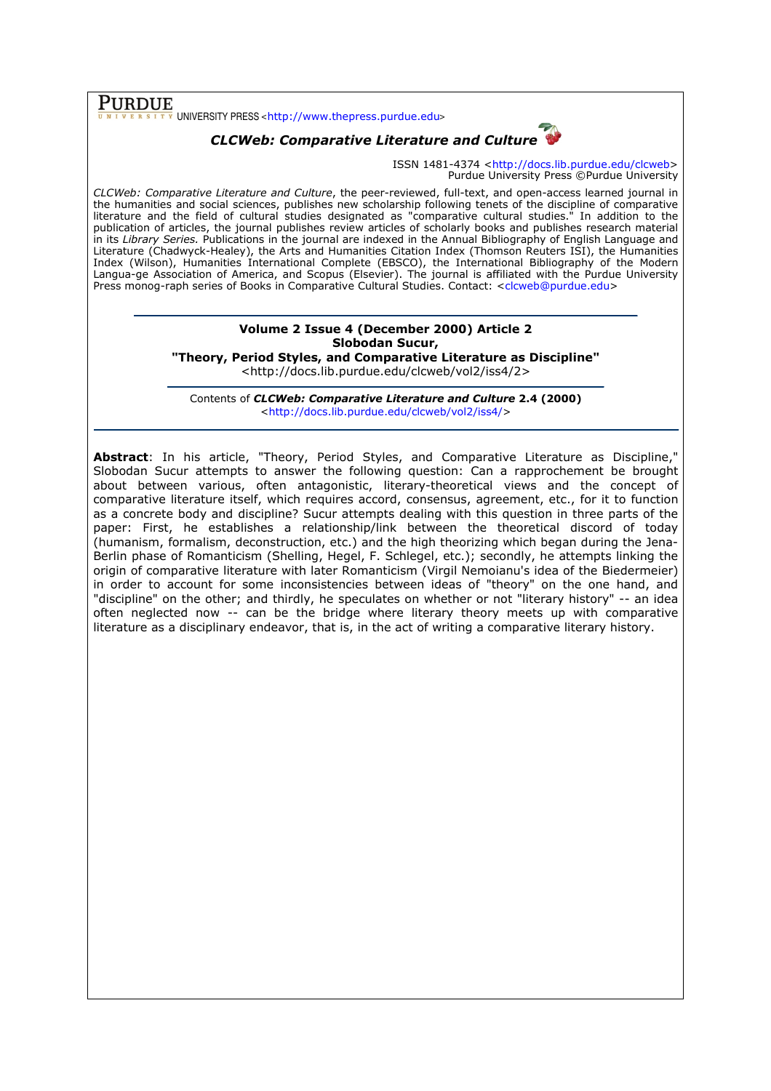$\overline{\text{PURDUE}}$  UNIVERSITY PRESS <http://www.thepress.purdue.edu>

# CLCWeb: Comparative Literature and Culture

ISSN 1481-4374 <http://docs.lib.purdue.edu/clcweb> Purdue University Press ©Purdue University

CLCWeb: Comparative Literature and Culture, the peer-reviewed, full-text, and open-access learned journal in the humanities and social sciences, publishes new scholarship following tenets of the discipline of comparative literature and the field of cultural studies designated as "comparative cultural studies." In addition to the publication of articles, the journal publishes review articles of scholarly books and publishes research material in its Library Series. Publications in the journal are indexed in the Annual Bibliography of English Language and Literature (Chadwyck-Healey), the Arts and Humanities Citation Index (Thomson Reuters ISI), the Humanities Index (Wilson), Humanities International Complete (EBSCO), the International Bibliography of the Modern Langua-ge Association of America, and Scopus (Elsevier). The journal is affiliated with the Purdue University Press monog-raph series of Books in Comparative Cultural Studies. Contact: <clcweb@purdue.edu>

## Volume 2 Issue 4 (December 2000) Article 2 Slobodan Sucur, "Theory, Period Styles, and Comparative Literature as Discipline"

<http://docs.lib.purdue.edu/clcweb/vol2/iss4/2>

Contents of CLCWeb: Comparative Literature and Culture 2.4 (2000) <http://docs.lib.purdue.edu/clcweb/vol2/iss4/>

Abstract: In his article, "Theory, Period Styles, and Comparative Literature as Discipline," Slobodan Sucur attempts to answer the following question: Can a rapprochement be brought about between various, often antagonistic, literary-theoretical views and the concept of comparative literature itself, which requires accord, consensus, agreement, etc., for it to function as a concrete body and discipline? Sucur attempts dealing with this question in three parts of the paper: First, he establishes a relationship/link between the theoretical discord of today (humanism, formalism, deconstruction, etc.) and the high theorizing which began during the Jena-Berlin phase of Romanticism (Shelling, Hegel, F. Schlegel, etc.); secondly, he attempts linking the origin of comparative literature with later Romanticism (Virgil Nemoianu's idea of the Biedermeier) in order to account for some inconsistencies between ideas of "theory" on the one hand, and "discipline" on the other; and thirdly, he speculates on whether or not "literary history" -- an idea often neglected now -- can be the bridge where literary theory meets up with comparative literature as a disciplinary endeavor, that is, in the act of writing a comparative literary history.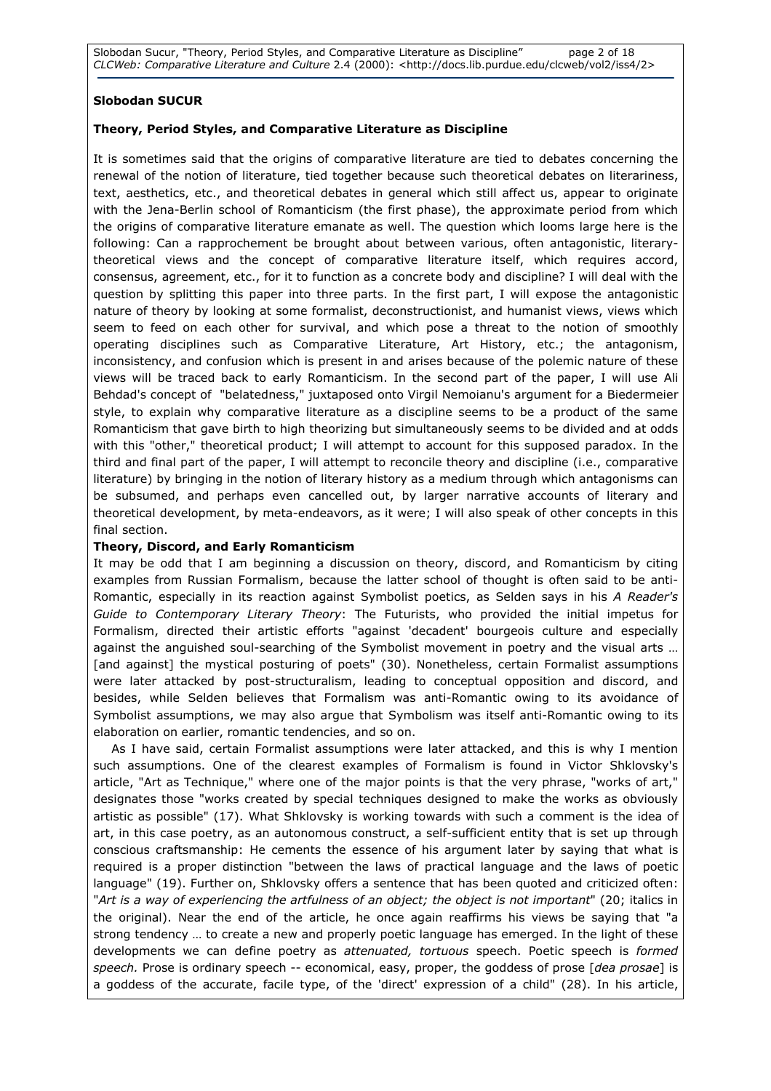Slobodan Sucur, "Theory, Period Styles, and Comparative Literature as Discipline" page 2 of 18 CLCWeb: Comparative Literature and Culture 2.4 (2000): <http://docs.lib.purdue.edu/clcweb/vol2/iss4/2>

# Slobodan SUCUR

# Theory, Period Styles, and Comparative Literature as Discipline

It is sometimes said that the origins of comparative literature are tied to debates concerning the renewal of the notion of literature, tied together because such theoretical debates on literariness, text, aesthetics, etc., and theoretical debates in general which still affect us, appear to originate with the Jena-Berlin school of Romanticism (the first phase), the approximate period from which the origins of comparative literature emanate as well. The question which looms large here is the following: Can a rapprochement be brought about between various, often antagonistic, literarytheoretical views and the concept of comparative literature itself, which requires accord, consensus, agreement, etc., for it to function as a concrete body and discipline? I will deal with the question by splitting this paper into three parts. In the first part, I will expose the antagonistic nature of theory by looking at some formalist, deconstructionist, and humanist views, views which seem to feed on each other for survival, and which pose a threat to the notion of smoothly operating disciplines such as Comparative Literature, Art History, etc.; the antagonism, inconsistency, and confusion which is present in and arises because of the polemic nature of these views will be traced back to early Romanticism. In the second part of the paper, I will use Ali Behdad's concept of "belatedness," juxtaposed onto Virgil Nemoianu's argument for a Biedermeier style, to explain why comparative literature as a discipline seems to be a product of the same Romanticism that gave birth to high theorizing but simultaneously seems to be divided and at odds with this "other," theoretical product; I will attempt to account for this supposed paradox. In the third and final part of the paper, I will attempt to reconcile theory and discipline (i.e., comparative literature) by bringing in the notion of literary history as a medium through which antagonisms can be subsumed, and perhaps even cancelled out, by larger narrative accounts of literary and theoretical development, by meta-endeavors, as it were; I will also speak of other concepts in this final section.

# Theory, Discord, and Early Romanticism

It may be odd that I am beginning a discussion on theory, discord, and Romanticism by citing examples from Russian Formalism, because the latter school of thought is often said to be anti-Romantic, especially in its reaction against Symbolist poetics, as Selden says in his A Reader's Guide to Contemporary Literary Theory: The Futurists, who provided the initial impetus for Formalism, directed their artistic efforts "against 'decadent' bourgeois culture and especially against the anguished soul-searching of the Symbolist movement in poetry and the visual arts … [and against] the mystical posturing of poets" (30). Nonetheless, certain Formalist assumptions were later attacked by post-structuralism, leading to conceptual opposition and discord, and besides, while Selden believes that Formalism was anti-Romantic owing to its avoidance of Symbolist assumptions, we may also argue that Symbolism was itself anti-Romantic owing to its elaboration on earlier, romantic tendencies, and so on.

 As I have said, certain Formalist assumptions were later attacked, and this is why I mention such assumptions. One of the clearest examples of Formalism is found in Victor Shklovsky's article, "Art as Technique," where one of the major points is that the very phrase, "works of art," designates those "works created by special techniques designed to make the works as obviously artistic as possible" (17). What Shklovsky is working towards with such a comment is the idea of art, in this case poetry, as an autonomous construct, a self-sufficient entity that is set up through conscious craftsmanship: He cements the essence of his argument later by saying that what is required is a proper distinction "between the laws of practical language and the laws of poetic language" (19). Further on, Shklovsky offers a sentence that has been quoted and criticized often: "Art is a way of experiencing the artfulness of an object; the object is not important" (20; italics in the original). Near the end of the article, he once again reaffirms his views be saying that "a strong tendency … to create a new and properly poetic language has emerged. In the light of these developments we can define poetry as attenuated, tortuous speech. Poetic speech is formed speech. Prose is ordinary speech -- economical, easy, proper, the goddess of prose [dea prosae] is a goddess of the accurate, facile type, of the 'direct' expression of a child" (28). In his article,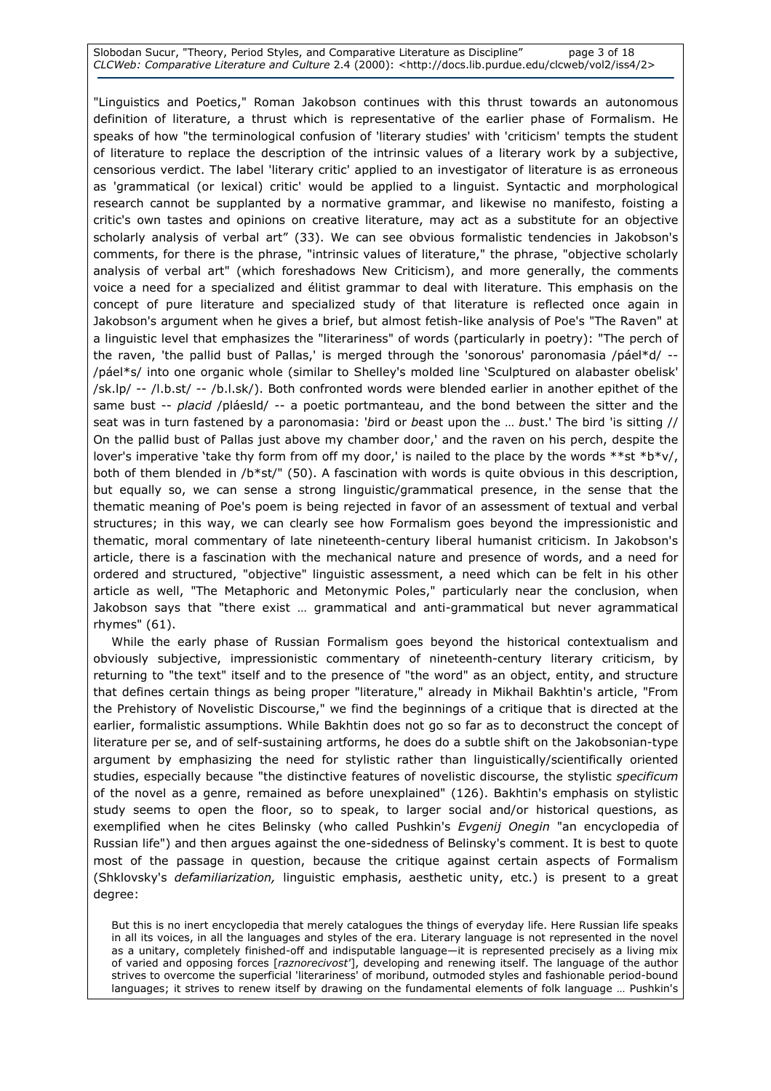#### Slobodan Sucur, "Theory, Period Styles, and Comparative Literature as Discipline" page 3 of 18 CLCWeb: Comparative Literature and Culture 2.4 (2000): <http://docs.lib.purdue.edu/clcweb/vol2/iss4/2>

"Linguistics and Poetics," Roman Jakobson continues with this thrust towards an autonomous definition of literature, a thrust which is representative of the earlier phase of Formalism. He speaks of how "the terminological confusion of 'literary studies' with 'criticism' tempts the student of literature to replace the description of the intrinsic values of a literary work by a subjective, censorious verdict. The label 'literary critic' applied to an investigator of literature is as erroneous as 'grammatical (or lexical) critic' would be applied to a linguist. Syntactic and morphological research cannot be supplanted by a normative grammar, and likewise no manifesto, foisting a critic's own tastes and opinions on creative literature, may act as a substitute for an objective scholarly analysis of verbal art" (33). We can see obvious formalistic tendencies in Jakobson's comments, for there is the phrase, "intrinsic values of literature," the phrase, "objective scholarly analysis of verbal art" (which foreshadows New Criticism), and more generally, the comments voice a need for a specialized and élitist grammar to deal with literature. This emphasis on the concept of pure literature and specialized study of that literature is reflected once again in Jakobson's argument when he gives a brief, but almost fetish-like analysis of Poe's "The Raven" at a linguistic level that emphasizes the "literariness" of words (particularly in poetry): "The perch of the raven, 'the pallid bust of Pallas,' is merged through the 'sonorous' paronomasia /páel\*d/ -- /páel\*s/ into one organic whole (similar to Shelley's molded line 'Sculptured on alabaster obelisk' /sk.lp/ -- /l.b.st/ -- /b.l.sk/). Both confronted words were blended earlier in another epithet of the same bust -- placid /pláesld/ -- a poetic portmanteau, and the bond between the sitter and the seat was in turn fastened by a paronomasia: 'bird or beast upon the … bust.' The bird 'is sitting // On the pallid bust of Pallas just above my chamber door,' and the raven on his perch, despite the lover's imperative 'take thy form from off my door,' is nailed to the place by the words \*\*st \*b\*v/, both of them blended in /b\*st/" (50). A fascination with words is quite obvious in this description, but equally so, we can sense a strong linguistic/grammatical presence, in the sense that the thematic meaning of Poe's poem is being rejected in favor of an assessment of textual and verbal structures; in this way, we can clearly see how Formalism goes beyond the impressionistic and thematic, moral commentary of late nineteenth-century liberal humanist criticism. In Jakobson's article, there is a fascination with the mechanical nature and presence of words, and a need for ordered and structured, "objective" linguistic assessment, a need which can be felt in his other article as well, "The Metaphoric and Metonymic Poles," particularly near the conclusion, when Jakobson says that "there exist … grammatical and anti-grammatical but never agrammatical rhymes" (61).

 While the early phase of Russian Formalism goes beyond the historical contextualism and obviously subjective, impressionistic commentary of nineteenth-century literary criticism, by returning to "the text" itself and to the presence of "the word" as an object, entity, and structure that defines certain things as being proper "literature," already in Mikhail Bakhtin's article, "From the Prehistory of Novelistic Discourse," we find the beginnings of a critique that is directed at the earlier, formalistic assumptions. While Bakhtin does not go so far as to deconstruct the concept of literature per se, and of self-sustaining artforms, he does do a subtle shift on the Jakobsonian-type argument by emphasizing the need for stylistic rather than linguistically/scientifically oriented studies, especially because "the distinctive features of novelistic discourse, the stylistic specificum of the novel as a genre, remained as before unexplained" (126). Bakhtin's emphasis on stylistic study seems to open the floor, so to speak, to larger social and/or historical questions, as exemplified when he cites Belinsky (who called Pushkin's Evgenij Onegin "an encyclopedia of Russian life") and then argues against the one-sidedness of Belinsky's comment. It is best to quote most of the passage in question, because the critique against certain aspects of Formalism (Shklovsky's defamiliarization, linguistic emphasis, aesthetic unity, etc.) is present to a great degree:

But this is no inert encyclopedia that merely catalogues the things of everyday life. Here Russian life speaks in all its voices, in all the languages and styles of the era. Literary language is not represented in the novel as a unitary, completely finished-off and indisputable language—it is represented precisely as a living mix of varied and opposing forces [raznorecivost'], developing and renewing itself. The language of the author strives to overcome the superficial 'literariness' of moribund, outmoded styles and fashionable period-bound languages; it strives to renew itself by drawing on the fundamental elements of folk language … Pushkin's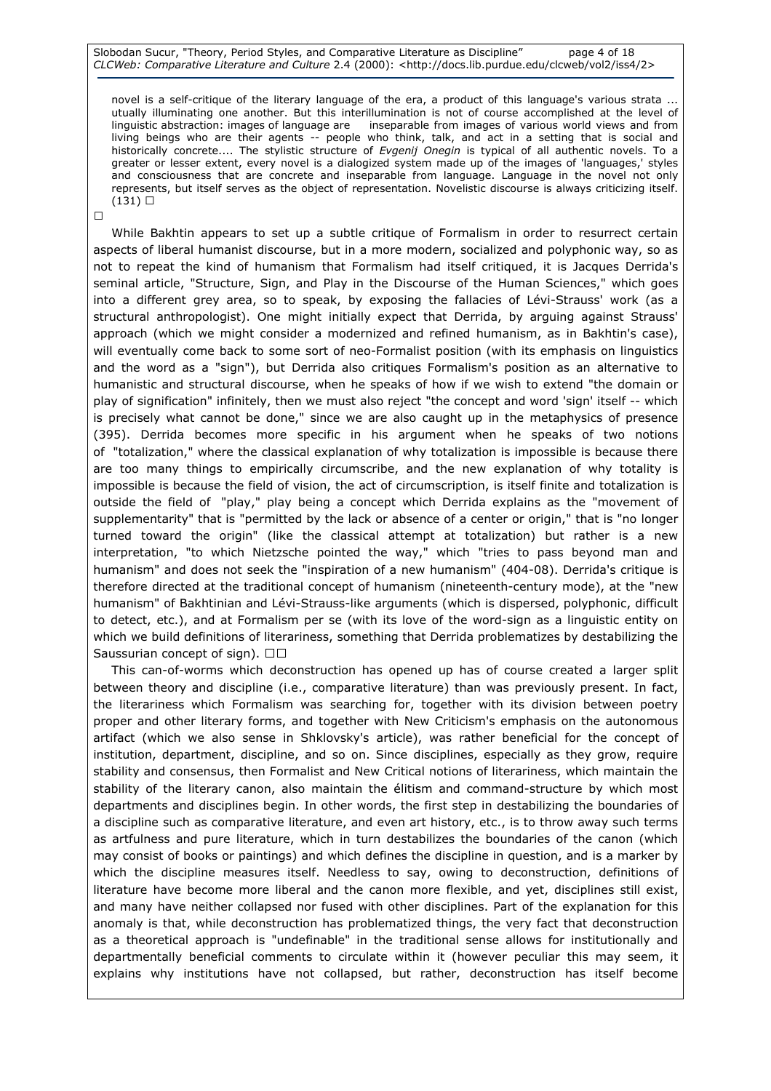Slobodan Sucur, "Theory, Period Styles, and Comparative Literature as Discipline" page 4 of 18 CLCWeb: Comparative Literature and Culture 2.4 (2000): <http://docs.lib.purdue.edu/clcweb/vol2/iss4/2>

novel is a self-critique of the literary language of the era, a product of this language's various strata ... utually illuminating one another. But this interillumination is not of course accomplished at the level of linguistic abstraction: images of language are inseparable from images of various world views and from living beings who are their agents -- people who think, talk, and act in a setting that is social and historically concrete.... The stylistic structure of Evgenij Onegin is typical of all authentic novels. To a greater or lesser extent, every novel is a dialogized system made up of the images of 'languages,' styles and consciousness that are concrete and inseparable from language. Language in the novel not only represents, but itself serves as the object of representation. Novelistic discourse is always criticizing itself. (131) R

R

 While Bakhtin appears to set up a subtle critique of Formalism in order to resurrect certain aspects of liberal humanist discourse, but in a more modern, socialized and polyphonic way, so as not to repeat the kind of humanism that Formalism had itself critiqued, it is Jacques Derrida's seminal article, "Structure, Sign, and Play in the Discourse of the Human Sciences," which goes into a different grey area, so to speak, by exposing the fallacies of Lévi-Strauss' work (as a structural anthropologist). One might initially expect that Derrida, by arguing against Strauss' approach (which we might consider a modernized and refined humanism, as in Bakhtin's case), will eventually come back to some sort of neo-Formalist position (with its emphasis on linguistics and the word as a "sign"), but Derrida also critiques Formalism's position as an alternative to humanistic and structural discourse, when he speaks of how if we wish to extend "the domain or play of signification" infinitely, then we must also reject "the concept and word 'sign' itself -- which is precisely what cannot be done," since we are also caught up in the metaphysics of presence (395). Derrida becomes more specific in his argument when he speaks of two notions of "totalization," where the classical explanation of why totalization is impossible is because there are too many things to empirically circumscribe, and the new explanation of why totality is impossible is because the field of vision, the act of circumscription, is itself finite and totalization is outside the field of "play," play being a concept which Derrida explains as the "movement of supplementarity" that is "permitted by the lack or absence of a center or origin," that is "no longer turned toward the origin" (like the classical attempt at totalization) but rather is a new interpretation, "to which Nietzsche pointed the way," which "tries to pass beyond man and humanism" and does not seek the "inspiration of a new humanism" (404-08). Derrida's critique is therefore directed at the traditional concept of humanism (nineteenth-century mode), at the "new humanism" of Bakhtinian and Lévi-Strauss-like arguments (which is dispersed, polyphonic, difficult to detect, etc.), and at Formalism per se (with its love of the word-sign as a linguistic entity on which we build definitions of literariness, something that Derrida problematizes by destabilizing the Saussurian concept of sign). R R

 This can-of-worms which deconstruction has opened up has of course created a larger split between theory and discipline (i.e., comparative literature) than was previously present. In fact, the literariness which Formalism was searching for, together with its division between poetry proper and other literary forms, and together with New Criticism's emphasis on the autonomous artifact (which we also sense in Shklovsky's article), was rather beneficial for the concept of institution, department, discipline, and so on. Since disciplines, especially as they grow, require stability and consensus, then Formalist and New Critical notions of literariness, which maintain the stability of the literary canon, also maintain the élitism and command-structure by which most departments and disciplines begin. In other words, the first step in destabilizing the boundaries of a discipline such as comparative literature, and even art history, etc., is to throw away such terms as artfulness and pure literature, which in turn destabilizes the boundaries of the canon (which may consist of books or paintings) and which defines the discipline in question, and is a marker by which the discipline measures itself. Needless to say, owing to deconstruction, definitions of literature have become more liberal and the canon more flexible, and yet, disciplines still exist, and many have neither collapsed nor fused with other disciplines. Part of the explanation for this anomaly is that, while deconstruction has problematized things, the very fact that deconstruction as a theoretical approach is "undefinable" in the traditional sense allows for institutionally and departmentally beneficial comments to circulate within it (however peculiar this may seem, it explains why institutions have not collapsed, but rather, deconstruction has itself become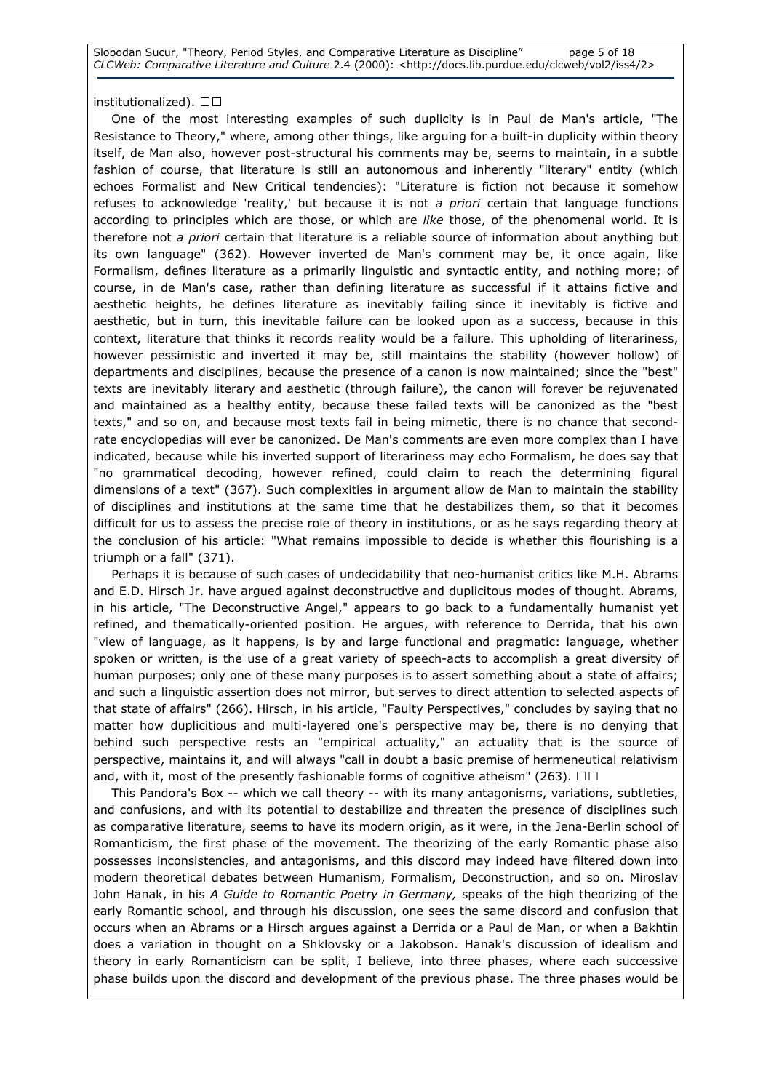Slobodan Sucur, "Theory, Period Styles, and Comparative Literature as Discipline" page 5 of 18 CLCWeb: Comparative Literature and Culture 2.4 (2000): <http://docs.lib.purdue.edu/clcweb/vol2/iss4/2>

### institutionalized). RR

 One of the most interesting examples of such duplicity is in Paul de Man's article, "The Resistance to Theory," where, among other things, like arguing for a built-in duplicity within theory itself, de Man also, however post-structural his comments may be, seems to maintain, in a subtle fashion of course, that literature is still an autonomous and inherently "literary" entity (which echoes Formalist and New Critical tendencies): "Literature is fiction not because it somehow refuses to acknowledge 'reality,' but because it is not a priori certain that language functions according to principles which are those, or which are like those, of the phenomenal world. It is therefore not a priori certain that literature is a reliable source of information about anything but its own language" (362). However inverted de Man's comment may be, it once again, like Formalism, defines literature as a primarily linguistic and syntactic entity, and nothing more; of course, in de Man's case, rather than defining literature as successful if it attains fictive and aesthetic heights, he defines literature as inevitably failing since it inevitably is fictive and aesthetic, but in turn, this inevitable failure can be looked upon as a success, because in this context, literature that thinks it records reality would be a failure. This upholding of literariness, however pessimistic and inverted it may be, still maintains the stability (however hollow) of departments and disciplines, because the presence of a canon is now maintained; since the "best" texts are inevitably literary and aesthetic (through failure), the canon will forever be rejuvenated and maintained as a healthy entity, because these failed texts will be canonized as the "best texts," and so on, and because most texts fail in being mimetic, there is no chance that secondrate encyclopedias will ever be canonized. De Man's comments are even more complex than I have indicated, because while his inverted support of literariness may echo Formalism, he does say that "no grammatical decoding, however refined, could claim to reach the determining figural dimensions of a text" (367). Such complexities in argument allow de Man to maintain the stability of disciplines and institutions at the same time that he destabilizes them, so that it becomes difficult for us to assess the precise role of theory in institutions, or as he says regarding theory at the conclusion of his article: "What remains impossible to decide is whether this flourishing is a triumph or a fall" (371).

 Perhaps it is because of such cases of undecidability that neo-humanist critics like M.H. Abrams and E.D. Hirsch Jr. have argued against deconstructive and duplicitous modes of thought. Abrams, in his article, "The Deconstructive Angel," appears to go back to a fundamentally humanist yet refined, and thematically-oriented position. He argues, with reference to Derrida, that his own "view of language, as it happens, is by and large functional and pragmatic: language, whether spoken or written, is the use of a great variety of speech-acts to accomplish a great diversity of human purposes; only one of these many purposes is to assert something about a state of affairs; and such a linguistic assertion does not mirror, but serves to direct attention to selected aspects of that state of affairs" (266). Hirsch, in his article, "Faulty Perspectives," concludes by saying that no matter how duplicitious and multi-layered one's perspective may be, there is no denying that behind such perspective rests an "empirical actuality," an actuality that is the source of perspective, maintains it, and will always "call in doubt a basic premise of hermeneutical relativism and, with it, most of the presently fashionable forms of cognitive atheism" (263). RR

 This Pandora's Box -- which we call theory -- with its many antagonisms, variations, subtleties, and confusions, and with its potential to destabilize and threaten the presence of disciplines such as comparative literature, seems to have its modern origin, as it were, in the Jena-Berlin school of Romanticism, the first phase of the movement. The theorizing of the early Romantic phase also possesses inconsistencies, and antagonisms, and this discord may indeed have filtered down into modern theoretical debates between Humanism, Formalism, Deconstruction, and so on. Miroslav John Hanak, in his A Guide to Romantic Poetry in Germany, speaks of the high theorizing of the early Romantic school, and through his discussion, one sees the same discord and confusion that occurs when an Abrams or a Hirsch argues against a Derrida or a Paul de Man, or when a Bakhtin does a variation in thought on a Shklovsky or a Jakobson. Hanak's discussion of idealism and theory in early Romanticism can be split, I believe, into three phases, where each successive phase builds upon the discord and development of the previous phase. The three phases would be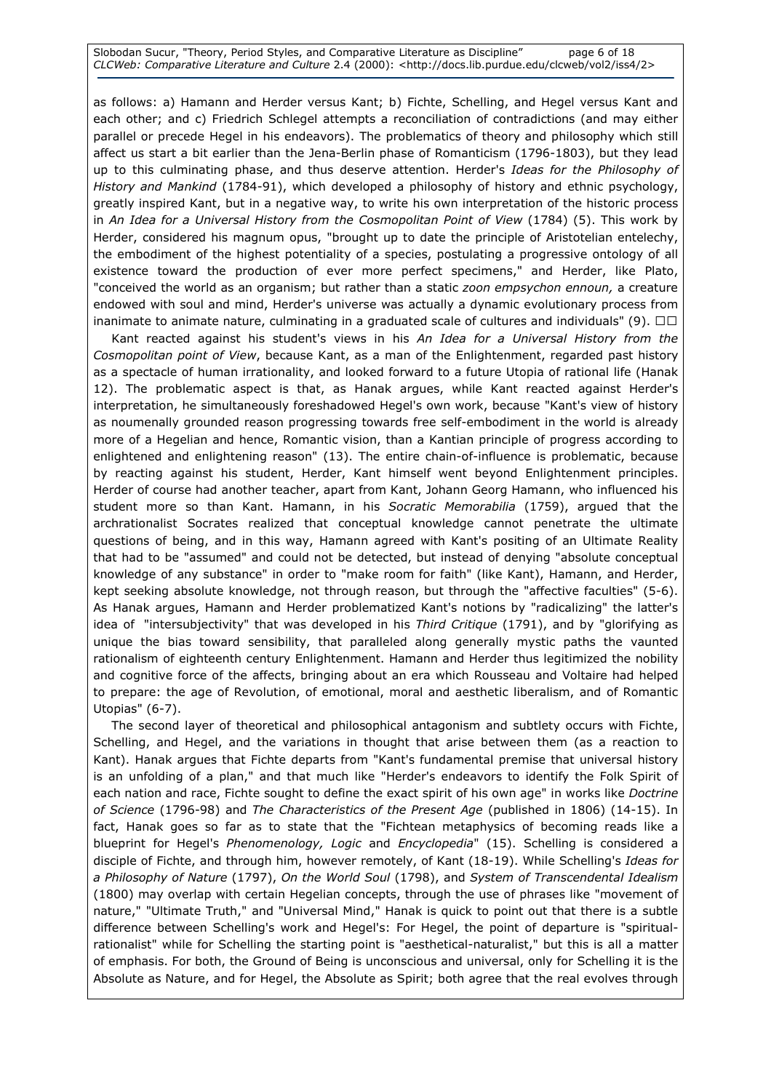Slobodan Sucur, "Theory, Period Styles, and Comparative Literature as Discipline" page 6 of 18 CLCWeb: Comparative Literature and Culture 2.4 (2000): <http://docs.lib.purdue.edu/clcweb/vol2/iss4/2>

as follows: a) Hamann and Herder versus Kant; b) Fichte, Schelling, and Hegel versus Kant and each other; and c) Friedrich Schlegel attempts a reconciliation of contradictions (and may either parallel or precede Hegel in his endeavors). The problematics of theory and philosophy which still affect us start a bit earlier than the Jena-Berlin phase of Romanticism (1796-1803), but they lead up to this culminating phase, and thus deserve attention. Herder's Ideas for the Philosophy of History and Mankind (1784-91), which developed a philosophy of history and ethnic psychology, greatly inspired Kant, but in a negative way, to write his own interpretation of the historic process in An Idea for a Universal History from the Cosmopolitan Point of View (1784) (5). This work by Herder, considered his magnum opus, "brought up to date the principle of Aristotelian entelechy, the embodiment of the highest potentiality of a species, postulating a progressive ontology of all existence toward the production of ever more perfect specimens," and Herder, like Plato, "conceived the world as an organism; but rather than a static zoon empsychon ennoun, a creature endowed with soul and mind, Herder's universe was actually a dynamic evolutionary process from inanimate to animate nature, culminating in a graduated scale of cultures and individuals" (9). R R

Kant reacted against his student's views in his An Idea for a Universal History from the Cosmopolitan point of View, because Kant, as a man of the Enlightenment, regarded past history as a spectacle of human irrationality, and looked forward to a future Utopia of rational life (Hanak 12). The problematic aspect is that, as Hanak argues, while Kant reacted against Herder's interpretation, he simultaneously foreshadowed Hegel's own work, because "Kant's view of history as noumenally grounded reason progressing towards free self-embodiment in the world is already more of a Hegelian and hence, Romantic vision, than a Kantian principle of progress according to enlightened and enlightening reason" (13). The entire chain-of-influence is problematic, because by reacting against his student, Herder, Kant himself went beyond Enlightenment principles. Herder of course had another teacher, apart from Kant, Johann Georg Hamann, who influenced his student more so than Kant. Hamann, in his Socratic Memorabilia (1759), argued that the archrationalist Socrates realized that conceptual knowledge cannot penetrate the ultimate questions of being, and in this way, Hamann agreed with Kant's positing of an Ultimate Reality that had to be "assumed" and could not be detected, but instead of denying "absolute conceptual knowledge of any substance" in order to "make room for faith" (like Kant), Hamann, and Herder, kept seeking absolute knowledge, not through reason, but through the "affective faculties" (5-6). As Hanak argues, Hamann and Herder problematized Kant's notions by "radicalizing" the latter's idea of "intersubjectivity" that was developed in his Third Critique (1791), and by "glorifying as unique the bias toward sensibility, that paralleled along generally mystic paths the vaunted rationalism of eighteenth century Enlightenment. Hamann and Herder thus legitimized the nobility and cognitive force of the affects, bringing about an era which Rousseau and Voltaire had helped to prepare: the age of Revolution, of emotional, moral and aesthetic liberalism, and of Romantic Utopias" (6-7).

 The second layer of theoretical and philosophical antagonism and subtlety occurs with Fichte, Schelling, and Hegel, and the variations in thought that arise between them (as a reaction to Kant). Hanak argues that Fichte departs from "Kant's fundamental premise that universal history is an unfolding of a plan," and that much like "Herder's endeavors to identify the Folk Spirit of each nation and race, Fichte sought to define the exact spirit of his own age" in works like Doctrine of Science (1796-98) and The Characteristics of the Present Age (published in 1806) (14-15). In fact, Hanak goes so far as to state that the "Fichtean metaphysics of becoming reads like a blueprint for Hegel's Phenomenology, Logic and Encyclopedia" (15). Schelling is considered a disciple of Fichte, and through him, however remotely, of Kant (18-19). While Schelling's Ideas for a Philosophy of Nature (1797), On the World Soul (1798), and System of Transcendental Idealism (1800) may overlap with certain Hegelian concepts, through the use of phrases like "movement of nature," "Ultimate Truth," and "Universal Mind," Hanak is quick to point out that there is a subtle difference between Schelling's work and Hegel's: For Hegel, the point of departure is "spiritualrationalist" while for Schelling the starting point is "aesthetical-naturalist," but this is all a matter of emphasis. For both, the Ground of Being is unconscious and universal, only for Schelling it is the Absolute as Nature, and for Hegel, the Absolute as Spirit; both agree that the real evolves through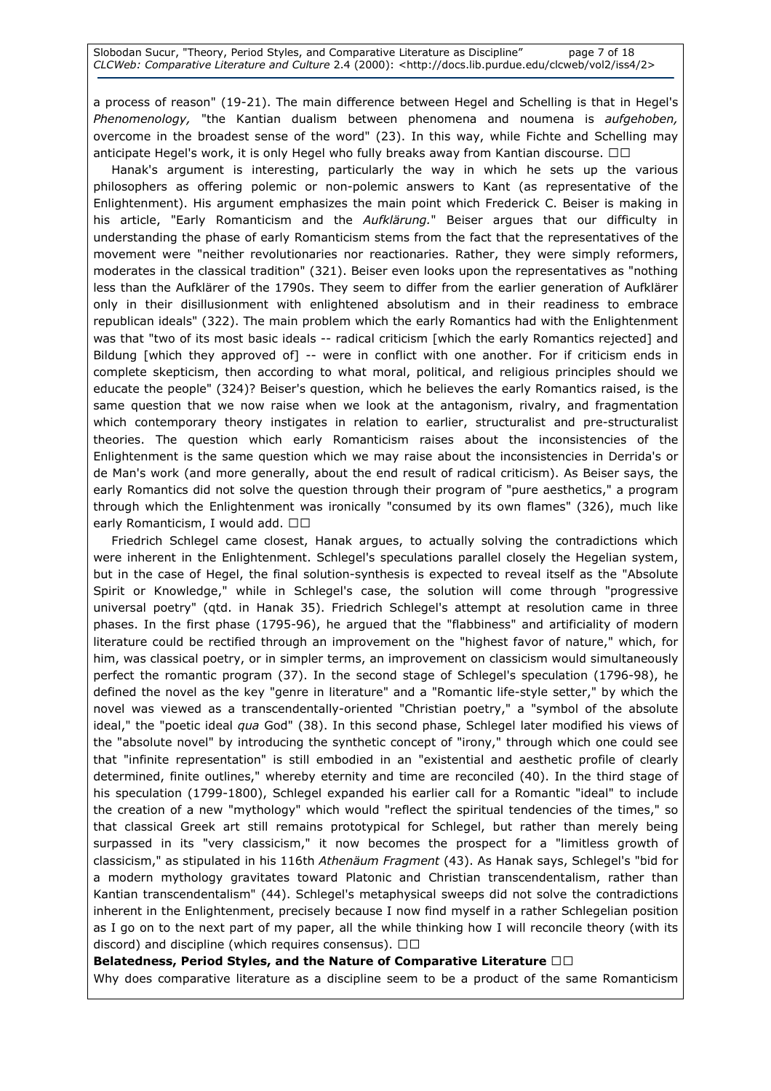Slobodan Sucur, "Theory, Period Styles, and Comparative Literature as Discipline" page 7 of 18 CLCWeb: Comparative Literature and Culture 2.4 (2000): <http://docs.lib.purdue.edu/clcweb/vol2/iss4/2>

a process of reason" (19-21). The main difference between Hegel and Schelling is that in Hegel's Phenomenology, "the Kantian dualism between phenomena and noumena is aufgehoben, overcome in the broadest sense of the word" (23). In this way, while Fichte and Schelling may anticipate Hegel's work, it is only Hegel who fully breaks away from Kantian discourse. RR

 Hanak's argument is interesting, particularly the way in which he sets up the various philosophers as offering polemic or non-polemic answers to Kant (as representative of the Enlightenment). His argument emphasizes the main point which Frederick C. Beiser is making in his article, "Early Romanticism and the Aufklärung." Beiser argues that our difficulty in understanding the phase of early Romanticism stems from the fact that the representatives of the movement were "neither revolutionaries nor reactionaries. Rather, they were simply reformers, moderates in the classical tradition" (321). Beiser even looks upon the representatives as "nothing less than the Aufklärer of the 1790s. They seem to differ from the earlier generation of Aufklärer only in their disillusionment with enlightened absolutism and in their readiness to embrace republican ideals" (322). The main problem which the early Romantics had with the Enlightenment was that "two of its most basic ideals -- radical criticism [which the early Romantics rejected] and Bildung [which they approved of] -- were in conflict with one another. For if criticism ends in complete skepticism, then according to what moral, political, and religious principles should we educate the people" (324)? Beiser's question, which he believes the early Romantics raised, is the same question that we now raise when we look at the antagonism, rivalry, and fragmentation which contemporary theory instigates in relation to earlier, structuralist and pre-structuralist theories. The question which early Romanticism raises about the inconsistencies of the Enlightenment is the same question which we may raise about the inconsistencies in Derrida's or de Man's work (and more generally, about the end result of radical criticism). As Beiser says, the early Romantics did not solve the question through their program of "pure aesthetics," a program through which the Enlightenment was ironically "consumed by its own flames" (326), much like early Romanticism, I would add. RR

 Friedrich Schlegel came closest, Hanak argues, to actually solving the contradictions which were inherent in the Enlightenment. Schlegel's speculations parallel closely the Hegelian system, but in the case of Hegel, the final solution-synthesis is expected to reveal itself as the "Absolute Spirit or Knowledge," while in Schlegel's case, the solution will come through "progressive universal poetry" (qtd. in Hanak 35). Friedrich Schlegel's attempt at resolution came in three phases. In the first phase (1795-96), he argued that the "flabbiness" and artificiality of modern literature could be rectified through an improvement on the "highest favor of nature," which, for him, was classical poetry, or in simpler terms, an improvement on classicism would simultaneously perfect the romantic program (37). In the second stage of Schlegel's speculation (1796-98), he defined the novel as the key "genre in literature" and a "Romantic life-style setter," by which the novel was viewed as a transcendentally-oriented "Christian poetry," a "symbol of the absolute ideal," the "poetic ideal qua God" (38). In this second phase, Schlegel later modified his views of the "absolute novel" by introducing the synthetic concept of "irony," through which one could see that "infinite representation" is still embodied in an "existential and aesthetic profile of clearly determined, finite outlines," whereby eternity and time are reconciled (40). In the third stage of his speculation (1799-1800), Schlegel expanded his earlier call for a Romantic "ideal" to include the creation of a new "mythology" which would "reflect the spiritual tendencies of the times," so that classical Greek art still remains prototypical for Schlegel, but rather than merely being surpassed in its "very classicism," it now becomes the prospect for a "limitless growth of classicism," as stipulated in his 116th Athenäum Fragment (43). As Hanak says, Schlegel's "bid for a modern mythology gravitates toward Platonic and Christian transcendentalism, rather than Kantian transcendentalism" (44). Schlegel's metaphysical sweeps did not solve the contradictions inherent in the Enlightenment, precisely because I now find myself in a rather Schlegelian position as I go on to the next part of my paper, all the while thinking how I will reconcile theory (with its discord) and discipline (which requires consensus). RR

### Belatedness, Period Styles, and the Nature of Comparative Literature RR

Why does comparative literature as a discipline seem to be a product of the same Romanticism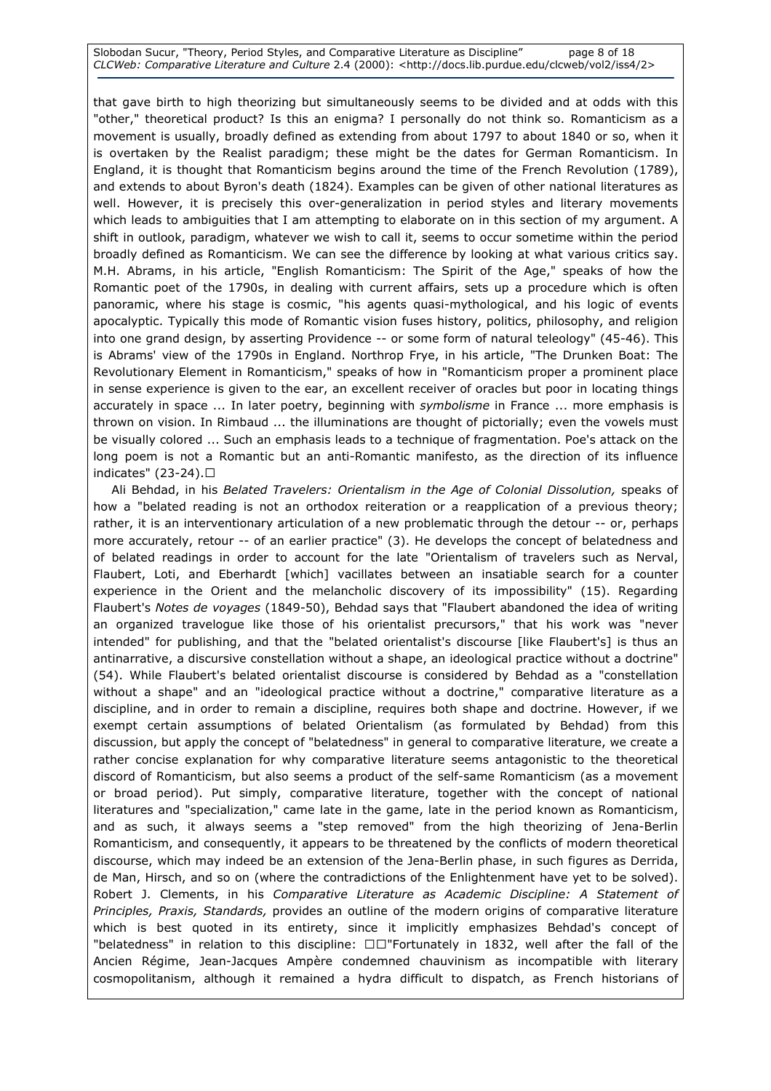Slobodan Sucur, "Theory, Period Styles, and Comparative Literature as Discipline" page 8 of 18 CLCWeb: Comparative Literature and Culture 2.4 (2000): <http://docs.lib.purdue.edu/clcweb/vol2/iss4/2>

that gave birth to high theorizing but simultaneously seems to be divided and at odds with this "other," theoretical product? Is this an enigma? I personally do not think so. Romanticism as a movement is usually, broadly defined as extending from about 1797 to about 1840 or so, when it is overtaken by the Realist paradigm; these might be the dates for German Romanticism. In England, it is thought that Romanticism begins around the time of the French Revolution (1789), and extends to about Byron's death (1824). Examples can be given of other national literatures as well. However, it is precisely this over-generalization in period styles and literary movements which leads to ambiguities that I am attempting to elaborate on in this section of my argument. A shift in outlook, paradigm, whatever we wish to call it, seems to occur sometime within the period broadly defined as Romanticism. We can see the difference by looking at what various critics say. M.H. Abrams, in his article, "English Romanticism: The Spirit of the Age," speaks of how the Romantic poet of the 1790s, in dealing with current affairs, sets up a procedure which is often panoramic, where his stage is cosmic, "his agents quasi-mythological, and his logic of events apocalyptic. Typically this mode of Romantic vision fuses history, politics, philosophy, and religion into one grand design, by asserting Providence -- or some form of natural teleology" (45-46). This is Abrams' view of the 1790s in England. Northrop Frye, in his article, "The Drunken Boat: The Revolutionary Element in Romanticism," speaks of how in "Romanticism proper a prominent place in sense experience is given to the ear, an excellent receiver of oracles but poor in locating things accurately in space ... In later poetry, beginning with *symbolisme* in France ... more emphasis is thrown on vision. In Rimbaud ... the illuminations are thought of pictorially; even the vowels must be visually colored ... Such an emphasis leads to a technique of fragmentation. Poe's attack on the long poem is not a Romantic but an anti-Romantic manifesto, as the direction of its influence indicates" (23-24).R

 Ali Behdad, in his Belated Travelers: Orientalism in the Age of Colonial Dissolution, speaks of how a "belated reading is not an orthodox reiteration or a reapplication of a previous theory; rather, it is an interventionary articulation of a new problematic through the detour -- or, perhaps more accurately, retour -- of an earlier practice" (3). He develops the concept of belatedness and of belated readings in order to account for the late "Orientalism of travelers such as Nerval, Flaubert, Loti, and Eberhardt [which] vacillates between an insatiable search for a counter experience in the Orient and the melancholic discovery of its impossibility" (15). Regarding Flaubert's Notes de voyages (1849-50), Behdad says that "Flaubert abandoned the idea of writing an organized travelogue like those of his orientalist precursors," that his work was "never intended" for publishing, and that the "belated orientalist's discourse [like Flaubert's] is thus an antinarrative, a discursive constellation without a shape, an ideological practice without a doctrine" (54). While Flaubert's belated orientalist discourse is considered by Behdad as a "constellation without a shape" and an "ideological practice without a doctrine," comparative literature as a discipline, and in order to remain a discipline, requires both shape and doctrine. However, if we exempt certain assumptions of belated Orientalism (as formulated by Behdad) from this discussion, but apply the concept of "belatedness" in general to comparative literature, we create a rather concise explanation for why comparative literature seems antagonistic to the theoretical discord of Romanticism, but also seems a product of the self-same Romanticism (as a movement or broad period). Put simply, comparative literature, together with the concept of national literatures and "specialization," came late in the game, late in the period known as Romanticism, and as such, it always seems a "step removed" from the high theorizing of Jena-Berlin Romanticism, and consequently, it appears to be threatened by the conflicts of modern theoretical discourse, which may indeed be an extension of the Jena-Berlin phase, in such figures as Derrida, de Man, Hirsch, and so on (where the contradictions of the Enlightenment have yet to be solved). Robert J. Clements, in his Comparative Literature as Academic Discipline: A Statement of Principles, Praxis, Standards, provides an outline of the modern origins of comparative literature which is best quoted in its entirety, since it implicitly emphasizes Behdad's concept of "belatedness" in relation to this discipline: RR"Fortunately in 1832, well after the fall of the Ancien Régime, Jean-Jacques Ampère condemned chauvinism as incompatible with literary cosmopolitanism, although it remained a hydra difficult to dispatch, as French historians of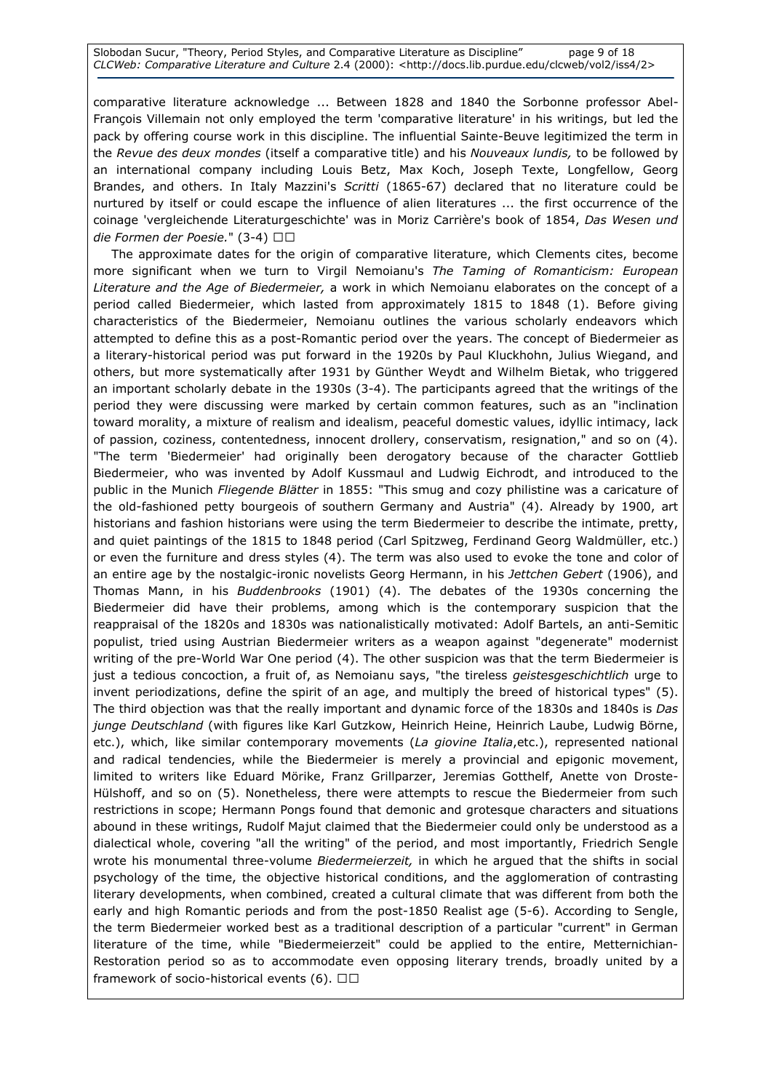Slobodan Sucur, "Theory, Period Styles, and Comparative Literature as Discipline" page 9 of 18 CLCWeb: Comparative Literature and Culture 2.4 (2000): <http://docs.lib.purdue.edu/clcweb/vol2/iss4/2>

comparative literature acknowledge ... Between 1828 and 1840 the Sorbonne professor Abel-François Villemain not only employed the term 'comparative literature' in his writings, but led the pack by offering course work in this discipline. The influential Sainte-Beuve legitimized the term in the Revue des deux mondes (itself a comparative title) and his Nouveaux lundis, to be followed by an international company including Louis Betz, Max Koch, Joseph Texte, Longfellow, Georg Brandes, and others. In Italy Mazzini's Scritti (1865-67) declared that no literature could be nurtured by itself or could escape the influence of alien literatures ... the first occurrence of the coinage 'vergleichende Literaturgeschichte' was in Moriz Carrière's book of 1854, Das Wesen und die Formen der Poesie." (3-4) RR

 The approximate dates for the origin of comparative literature, which Clements cites, become more significant when we turn to Virgil Nemoianu's The Taming of Romanticism: European Literature and the Age of Biedermeier, a work in which Nemoianu elaborates on the concept of a period called Biedermeier, which lasted from approximately 1815 to 1848 (1). Before giving characteristics of the Biedermeier, Nemoianu outlines the various scholarly endeavors which attempted to define this as a post-Romantic period over the years. The concept of Biedermeier as a literary-historical period was put forward in the 1920s by Paul Kluckhohn, Julius Wiegand, and others, but more systematically after 1931 by Günther Weydt and Wilhelm Bietak, who triggered an important scholarly debate in the 1930s (3-4). The participants agreed that the writings of the period they were discussing were marked by certain common features, such as an "inclination toward morality, a mixture of realism and idealism, peaceful domestic values, idyllic intimacy, lack of passion, coziness, contentedness, innocent drollery, conservatism, resignation," and so on (4). "The term 'Biedermeier' had originally been derogatory because of the character Gottlieb Biedermeier, who was invented by Adolf Kussmaul and Ludwig Eichrodt, and introduced to the public in the Munich Fliegende Blätter in 1855: "This smug and cozy philistine was a caricature of the old-fashioned petty bourgeois of southern Germany and Austria" (4). Already by 1900, art historians and fashion historians were using the term Biedermeier to describe the intimate, pretty, and quiet paintings of the 1815 to 1848 period (Carl Spitzweg, Ferdinand Georg Waldmüller, etc.) or even the furniture and dress styles (4). The term was also used to evoke the tone and color of an entire age by the nostalgic-ironic novelists Georg Hermann, in his Jettchen Gebert (1906), and Thomas Mann, in his Buddenbrooks (1901) (4). The debates of the 1930s concerning the Biedermeier did have their problems, among which is the contemporary suspicion that the reappraisal of the 1820s and 1830s was nationalistically motivated: Adolf Bartels, an anti-Semitic populist, tried using Austrian Biedermeier writers as a weapon against "degenerate" modernist writing of the pre-World War One period (4). The other suspicion was that the term Biedermeier is just a tedious concoction, a fruit of, as Nemoianu says, "the tireless *geistesgeschichtlich* urge to invent periodizations, define the spirit of an age, and multiply the breed of historical types" (5). The third objection was that the really important and dynamic force of the 1830s and 1840s is Das junge Deutschland (with figures like Karl Gutzkow, Heinrich Heine, Heinrich Laube, Ludwig Börne, etc.), which, like similar contemporary movements (La giovine Italia, etc.), represented national and radical tendencies, while the Biedermeier is merely a provincial and epigonic movement, limited to writers like Eduard Mörike, Franz Grillparzer, Jeremias Gotthelf, Anette von Droste-Hülshoff, and so on (5). Nonetheless, there were attempts to rescue the Biedermeier from such restrictions in scope; Hermann Pongs found that demonic and grotesque characters and situations abound in these writings, Rudolf Majut claimed that the Biedermeier could only be understood as a dialectical whole, covering "all the writing" of the period, and most importantly, Friedrich Sengle wrote his monumental three-volume Biedermeierzeit, in which he argued that the shifts in social psychology of the time, the objective historical conditions, and the agglomeration of contrasting literary developments, when combined, created a cultural climate that was different from both the early and high Romantic periods and from the post-1850 Realist age (5-6). According to Sengle, the term Biedermeier worked best as a traditional description of a particular "current" in German literature of the time, while "Biedermeierzeit" could be applied to the entire, Metternichian-Restoration period so as to accommodate even opposing literary trends, broadly united by a framework of socio-historical events (6). RR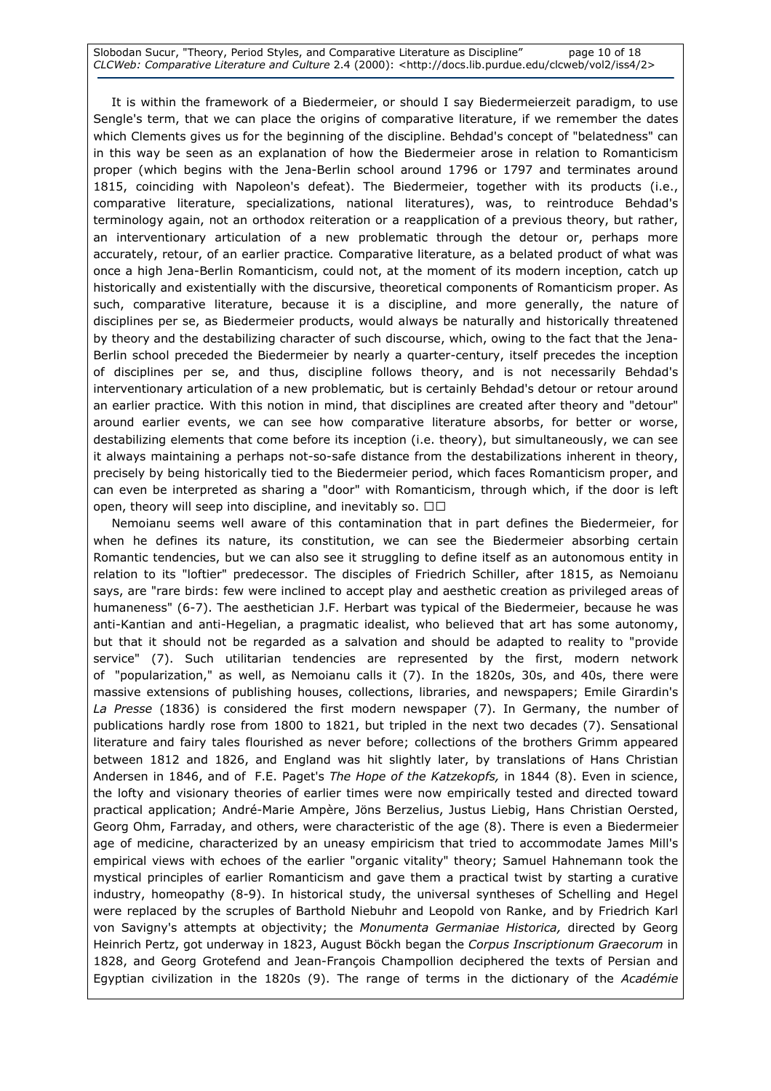Slobodan Sucur, "Theory, Period Styles, and Comparative Literature as Discipline" page 10 of 18 CLCWeb: Comparative Literature and Culture 2.4 (2000): <http://docs.lib.purdue.edu/clcweb/vol2/iss4/2>

 It is within the framework of a Biedermeier, or should I say Biedermeierzeit paradigm, to use Sengle's term, that we can place the origins of comparative literature, if we remember the dates which Clements gives us for the beginning of the discipline. Behdad's concept of "belatedness" can in this way be seen as an explanation of how the Biedermeier arose in relation to Romanticism proper (which begins with the Jena-Berlin school around 1796 or 1797 and terminates around 1815, coinciding with Napoleon's defeat). The Biedermeier, together with its products (i.e., comparative literature, specializations, national literatures), was, to reintroduce Behdad's terminology again, not an orthodox reiteration or a reapplication of a previous theory, but rather, an interventionary articulation of a new problematic through the detour or, perhaps more accurately, retour, of an earlier practice. Comparative literature, as a belated product of what was once a high Jena-Berlin Romanticism, could not, at the moment of its modern inception, catch up historically and existentially with the discursive, theoretical components of Romanticism proper. As such, comparative literature, because it is a discipline, and more generally, the nature of disciplines per se, as Biedermeier products, would always be naturally and historically threatened by theory and the destabilizing character of such discourse, which, owing to the fact that the Jena-Berlin school preceded the Biedermeier by nearly a quarter-century, itself precedes the inception of disciplines per se, and thus, discipline follows theory, and is not necessarily Behdad's interventionary articulation of a new problematic, but is certainly Behdad's detour or retour around an earlier practice. With this notion in mind, that disciplines are created after theory and "detour" around earlier events, we can see how comparative literature absorbs, for better or worse, destabilizing elements that come before its inception (i.e. theory), but simultaneously, we can see it always maintaining a perhaps not-so-safe distance from the destabilizations inherent in theory, precisely by being historically tied to the Biedermeier period, which faces Romanticism proper, and can even be interpreted as sharing a "door" with Romanticism, through which, if the door is left open, theory will seep into discipline, and inevitably so. RR

 Nemoianu seems well aware of this contamination that in part defines the Biedermeier, for when he defines its nature, its constitution, we can see the Biedermeier absorbing certain Romantic tendencies, but we can also see it struggling to define itself as an autonomous entity in relation to its "loftier" predecessor. The disciples of Friedrich Schiller, after 1815, as Nemoianu says, are "rare birds: few were inclined to accept play and aesthetic creation as privileged areas of humaneness" (6-7). The aesthetician J.F. Herbart was typical of the Biedermeier, because he was anti-Kantian and anti-Hegelian, a pragmatic idealist, who believed that art has some autonomy, but that it should not be regarded as a salvation and should be adapted to reality to "provide service" (7). Such utilitarian tendencies are represented by the first, modern network of "popularization," as well, as Nemoianu calls it (7). In the 1820s, 30s, and 40s, there were massive extensions of publishing houses, collections, libraries, and newspapers; Emile Girardin's La Presse (1836) is considered the first modern newspaper (7). In Germany, the number of publications hardly rose from 1800 to 1821, but tripled in the next two decades (7). Sensational literature and fairy tales flourished as never before; collections of the brothers Grimm appeared between 1812 and 1826, and England was hit slightly later, by translations of Hans Christian Andersen in 1846, and of F.E. Paget's The Hope of the Katzekopfs, in 1844 (8). Even in science, the lofty and visionary theories of earlier times were now empirically tested and directed toward practical application; André-Marie Ampère, Jöns Berzelius, Justus Liebig, Hans Christian Oersted, Georg Ohm, Farraday, and others, were characteristic of the age (8). There is even a Biedermeier age of medicine, characterized by an uneasy empiricism that tried to accommodate James Mill's empirical views with echoes of the earlier "organic vitality" theory; Samuel Hahnemann took the mystical principles of earlier Romanticism and gave them a practical twist by starting a curative industry, homeopathy (8-9). In historical study, the universal syntheses of Schelling and Hegel were replaced by the scruples of Barthold Niebuhr and Leopold von Ranke, and by Friedrich Karl von Savigny's attempts at objectivity; the Monumenta Germaniae Historica, directed by Georg Heinrich Pertz, got underway in 1823, August Böckh began the Corpus Inscriptionum Graecorum in 1828, and Georg Grotefend and Jean-François Champollion deciphered the texts of Persian and Egyptian civilization in the 1820s (9). The range of terms in the dictionary of the Académie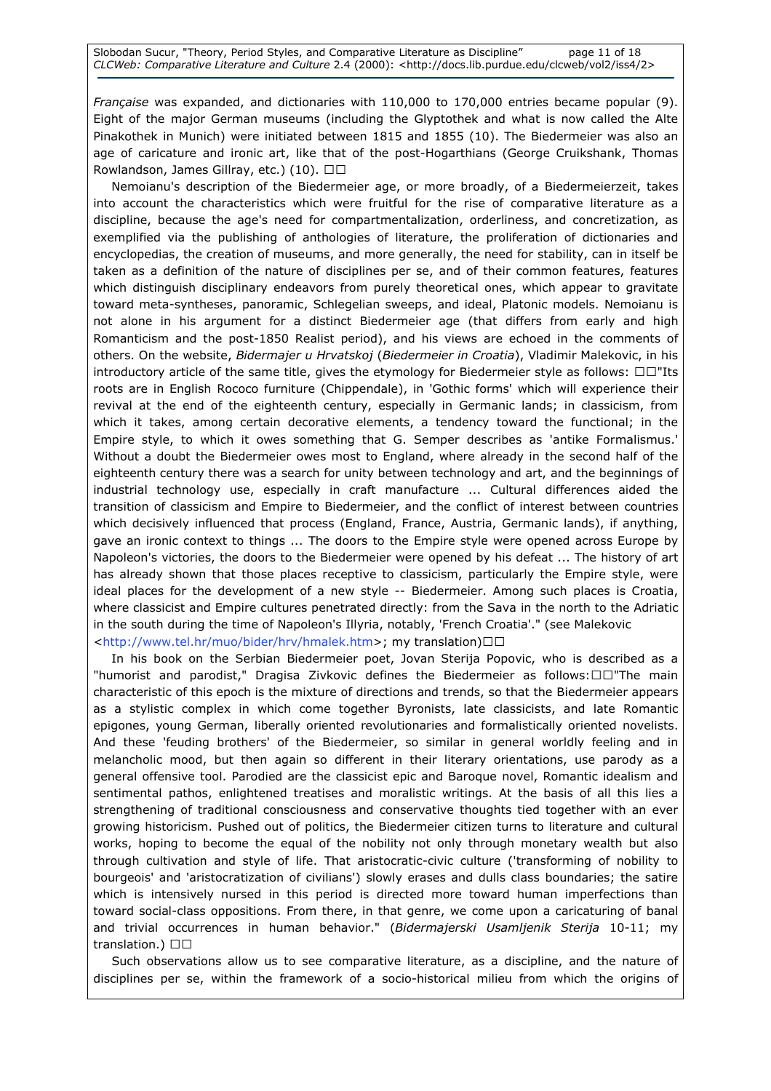Française was expanded, and dictionaries with 110,000 to 170,000 entries became popular (9). Eight of the major German museums (including the Glyptothek and what is now called the Alte Pinakothek in Munich) were initiated between 1815 and 1855 (10). The Biedermeier was also an age of caricature and ironic art, like that of the post-Hogarthians (George Cruikshank, Thomas Rowlandson, James Gillray, etc.) (10). RR

 Nemoianu's description of the Biedermeier age, or more broadly, of a Biedermeierzeit, takes into account the characteristics which were fruitful for the rise of comparative literature as a discipline, because the age's need for compartmentalization, orderliness, and concretization, as exemplified via the publishing of anthologies of literature, the proliferation of dictionaries and encyclopedias, the creation of museums, and more generally, the need for stability, can in itself be taken as a definition of the nature of disciplines per se, and of their common features, features which distinguish disciplinary endeavors from purely theoretical ones, which appear to gravitate toward meta-syntheses, panoramic, Schlegelian sweeps, and ideal, Platonic models. Nemoianu is not alone in his argument for a distinct Biedermeier age (that differs from early and high Romanticism and the post-1850 Realist period), and his views are echoed in the comments of others. On the website, Bidermajer u Hrvatskoj (Biedermeier in Croatia), Vladimir Malekovic, in his introductory article of the same title, gives the etymology for Biedermeier style as follows: RR"Its roots are in English Rococo furniture (Chippendale), in 'Gothic forms' which will experience their revival at the end of the eighteenth century, especially in Germanic lands; in classicism, from which it takes, among certain decorative elements, a tendency toward the functional; in the Empire style, to which it owes something that G. Semper describes as 'antike Formalismus.' Without a doubt the Biedermeier owes most to England, where already in the second half of the eighteenth century there was a search for unity between technology and art, and the beginnings of industrial technology use, especially in craft manufacture ... Cultural differences aided the transition of classicism and Empire to Biedermeier, and the conflict of interest between countries which decisively influenced that process (England, France, Austria, Germanic lands), if anything, gave an ironic context to things ... The doors to the Empire style were opened across Europe by Napoleon's victories, the doors to the Biedermeier were opened by his defeat ... The history of art has already shown that those places receptive to classicism, particularly the Empire style, were ideal places for the development of a new style -- Biedermeier. Among such places is Croatia, where classicist and Empire cultures penetrated directly: from the Sava in the north to the Adriatic in the south during the time of Napoleon's Illyria, notably, 'French Croatia'." (see Malekovic <http://www.tel.hr/muo/bider/hrv/hmalek.htm>; my translation)RR

 In his book on the Serbian Biedermeier poet, Jovan Sterija Popovic, who is described as a "humorist and parodist," Dragisa Zivkovic defines the Biedermeier as follows:RR"The main characteristic of this epoch is the mixture of directions and trends, so that the Biedermeier appears as a stylistic complex in which come together Byronists, late classicists, and late Romantic epigones, young German, liberally oriented revolutionaries and formalistically oriented novelists. And these 'feuding brothers' of the Biedermeier, so similar in general worldly feeling and in melancholic mood, but then again so different in their literary orientations, use parody as a general offensive tool. Parodied are the classicist epic and Baroque novel, Romantic idealism and sentimental pathos, enlightened treatises and moralistic writings. At the basis of all this lies a strengthening of traditional consciousness and conservative thoughts tied together with an ever growing historicism. Pushed out of politics, the Biedermeier citizen turns to literature and cultural works, hoping to become the equal of the nobility not only through monetary wealth but also through cultivation and style of life. That aristocratic-civic culture ('transforming of nobility to bourgeois' and 'aristocratization of civilians') slowly erases and dulls class boundaries; the satire which is intensively nursed in this period is directed more toward human imperfections than toward social-class oppositions. From there, in that genre, we come upon a caricaturing of banal and trivial occurrences in human behavior." (Bidermajerski Usamljenik Sterija 10-11; my translation.) RR

 Such observations allow us to see comparative literature, as a discipline, and the nature of disciplines per se, within the framework of a socio-historical milieu from which the origins of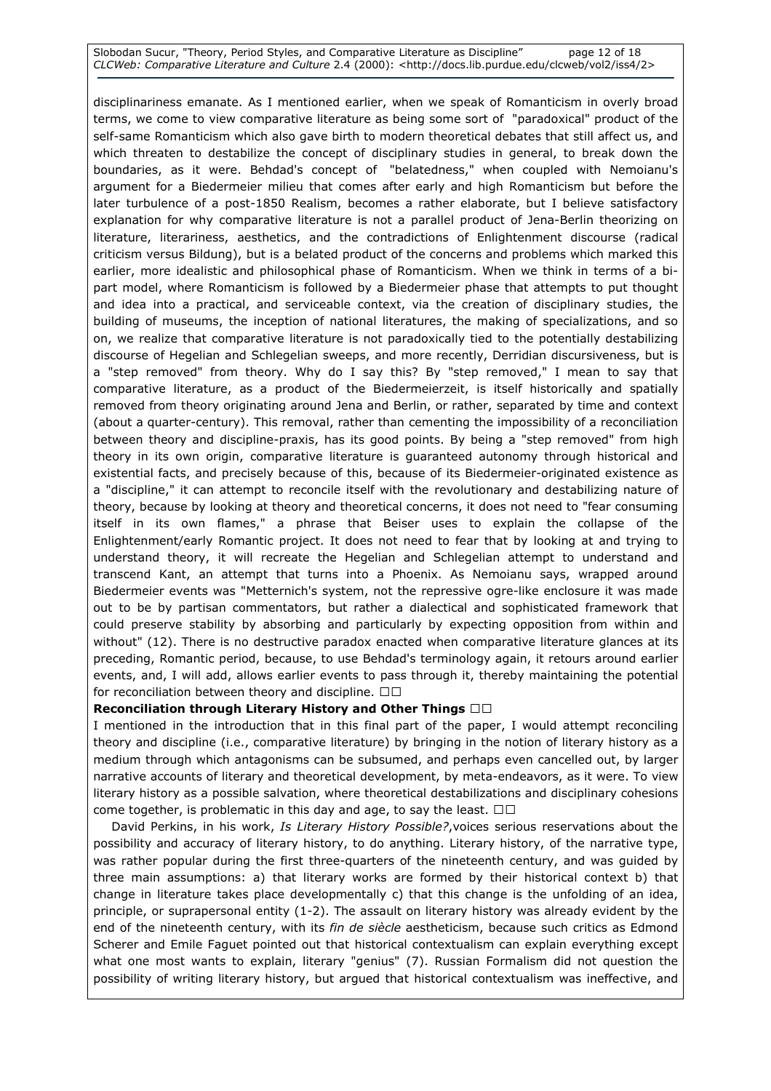#### Slobodan Sucur, "Theory, Period Styles, and Comparative Literature as Discipline" page 12 of 18 CLCWeb: Comparative Literature and Culture 2.4 (2000): <http://docs.lib.purdue.edu/clcweb/vol2/iss4/2>

disciplinariness emanate. As I mentioned earlier, when we speak of Romanticism in overly broad terms, we come to view comparative literature as being some sort of "paradoxical" product of the self-same Romanticism which also gave birth to modern theoretical debates that still affect us, and which threaten to destabilize the concept of disciplinary studies in general, to break down the boundaries, as it were. Behdad's concept of "belatedness," when coupled with Nemoianu's argument for a Biedermeier milieu that comes after early and high Romanticism but before the later turbulence of a post-1850 Realism, becomes a rather elaborate, but I believe satisfactory explanation for why comparative literature is not a parallel product of Jena-Berlin theorizing on literature, literariness, aesthetics, and the contradictions of Enlightenment discourse (radical criticism versus Bildung), but is a belated product of the concerns and problems which marked this earlier, more idealistic and philosophical phase of Romanticism. When we think in terms of a bipart model, where Romanticism is followed by a Biedermeier phase that attempts to put thought and idea into a practical, and serviceable context, via the creation of disciplinary studies, the building of museums, the inception of national literatures, the making of specializations, and so on, we realize that comparative literature is not paradoxically tied to the potentially destabilizing discourse of Hegelian and Schlegelian sweeps, and more recently, Derridian discursiveness, but is a "step removed" from theory. Why do I say this? By "step removed," I mean to say that comparative literature, as a product of the Biedermeierzeit, is itself historically and spatially removed from theory originating around Jena and Berlin, or rather, separated by time and context (about a quarter-century). This removal, rather than cementing the impossibility of a reconciliation between theory and discipline-praxis, has its good points. By being a "step removed" from high theory in its own origin, comparative literature is guaranteed autonomy through historical and existential facts, and precisely because of this, because of its Biedermeier-originated existence as a "discipline," it can attempt to reconcile itself with the revolutionary and destabilizing nature of theory, because by looking at theory and theoretical concerns, it does not need to "fear consuming itself in its own flames," a phrase that Beiser uses to explain the collapse of the Enlightenment/early Romantic project. It does not need to fear that by looking at and trying to understand theory, it will recreate the Hegelian and Schlegelian attempt to understand and transcend Kant, an attempt that turns into a Phoenix. As Nemoianu says, wrapped around Biedermeier events was "Metternich's system, not the repressive ogre-like enclosure it was made out to be by partisan commentators, but rather a dialectical and sophisticated framework that could preserve stability by absorbing and particularly by expecting opposition from within and without" (12). There is no destructive paradox enacted when comparative literature glances at its preceding, Romantic period, because, to use Behdad's terminology again, it retours around earlier events, and, I will add, allows earlier events to pass through it, thereby maintaining the potential for reconciliation between theory and discipline. R R

# Reconciliation through Literary History and Other Things RR

I mentioned in the introduction that in this final part of the paper, I would attempt reconciling theory and discipline (i.e., comparative literature) by bringing in the notion of literary history as a medium through which antagonisms can be subsumed, and perhaps even cancelled out, by larger narrative accounts of literary and theoretical development, by meta-endeavors, as it were. To view literary history as a possible salvation, where theoretical destabilizations and disciplinary cohesions come together, is problematic in this day and age, to say the least. RR

David Perkins, in his work, Is Literary History Possible?, voices serious reservations about the possibility and accuracy of literary history, to do anything. Literary history, of the narrative type, was rather popular during the first three-quarters of the nineteenth century, and was guided by three main assumptions: a) that literary works are formed by their historical context b) that change in literature takes place developmentally c) that this change is the unfolding of an idea, principle, or suprapersonal entity (1-2). The assault on literary history was already evident by the end of the nineteenth century, with its fin de siècle aestheticism, because such critics as Edmond Scherer and Emile Faguet pointed out that historical contextualism can explain everything except what one most wants to explain, literary "genius" (7). Russian Formalism did not question the possibility of writing literary history, but argued that historical contextualism was ineffective, and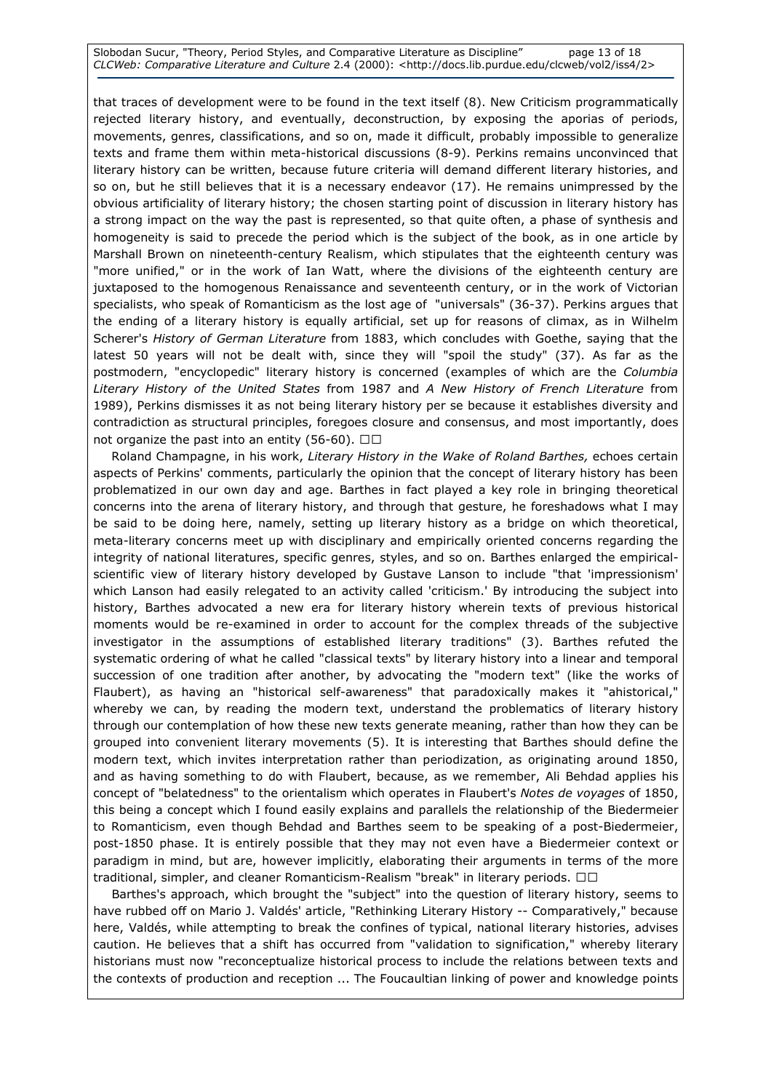Slobodan Sucur, "Theory, Period Styles, and Comparative Literature as Discipline" page 13 of 18 CLCWeb: Comparative Literature and Culture 2.4 (2000): <http://docs.lib.purdue.edu/clcweb/vol2/iss4/2>

that traces of development were to be found in the text itself (8). New Criticism programmatically rejected literary history, and eventually, deconstruction, by exposing the aporias of periods, movements, genres, classifications, and so on, made it difficult, probably impossible to generalize texts and frame them within meta-historical discussions (8-9). Perkins remains unconvinced that literary history can be written, because future criteria will demand different literary histories, and so on, but he still believes that it is a necessary endeavor (17). He remains unimpressed by the obvious artificiality of literary history; the chosen starting point of discussion in literary history has a strong impact on the way the past is represented, so that quite often, a phase of synthesis and homogeneity is said to precede the period which is the subject of the book, as in one article by Marshall Brown on nineteenth-century Realism, which stipulates that the eighteenth century was "more unified," or in the work of Ian Watt, where the divisions of the eighteenth century are juxtaposed to the homogenous Renaissance and seventeenth century, or in the work of Victorian specialists, who speak of Romanticism as the lost age of "universals" (36-37). Perkins argues that the ending of a literary history is equally artificial, set up for reasons of climax, as in Wilhelm Scherer's History of German Literature from 1883, which concludes with Goethe, saying that the latest 50 years will not be dealt with, since they will "spoil the study" (37). As far as the postmodern, "encyclopedic" literary history is concerned (examples of which are the Columbia Literary History of the United States from 1987 and A New History of French Literature from 1989), Perkins dismisses it as not being literary history per se because it establishes diversity and contradiction as structural principles, foregoes closure and consensus, and most importantly, does not organize the past into an entity (56-60). RR

Roland Champagne, in his work, Literary History in the Wake of Roland Barthes, echoes certain aspects of Perkins' comments, particularly the opinion that the concept of literary history has been problematized in our own day and age. Barthes in fact played a key role in bringing theoretical concerns into the arena of literary history, and through that gesture, he foreshadows what I may be said to be doing here, namely, setting up literary history as a bridge on which theoretical, meta-literary concerns meet up with disciplinary and empirically oriented concerns regarding the integrity of national literatures, specific genres, styles, and so on. Barthes enlarged the empiricalscientific view of literary history developed by Gustave Lanson to include "that 'impressionism' which Lanson had easily relegated to an activity called 'criticism.' By introducing the subject into history, Barthes advocated a new era for literary history wherein texts of previous historical moments would be re-examined in order to account for the complex threads of the subjective investigator in the assumptions of established literary traditions" (3). Barthes refuted the systematic ordering of what he called "classical texts" by literary history into a linear and temporal succession of one tradition after another, by advocating the "modern text" (like the works of Flaubert), as having an "historical self-awareness" that paradoxically makes it "ahistorical," whereby we can, by reading the modern text, understand the problematics of literary history through our contemplation of how these new texts generate meaning, rather than how they can be grouped into convenient literary movements (5). It is interesting that Barthes should define the modern text, which invites interpretation rather than periodization, as originating around 1850, and as having something to do with Flaubert, because, as we remember, Ali Behdad applies his concept of "belatedness" to the orientalism which operates in Flaubert's Notes de voyages of 1850, this being a concept which I found easily explains and parallels the relationship of the Biedermeier to Romanticism, even though Behdad and Barthes seem to be speaking of a post-Biedermeier, post-1850 phase. It is entirely possible that they may not even have a Biedermeier context or paradigm in mind, but are, however implicitly, elaborating their arguments in terms of the more traditional, simpler, and cleaner Romanticism-Realism "break" in literary periods. RR

 Barthes's approach, which brought the "subject" into the question of literary history, seems to have rubbed off on Mario J. Valdés' article, "Rethinking Literary History -- Comparatively," because here, Valdés, while attempting to break the confines of typical, national literary histories, advises caution. He believes that a shift has occurred from "validation to signification," whereby literary historians must now "reconceptualize historical process to include the relations between texts and the contexts of production and reception ... The Foucaultian linking of power and knowledge points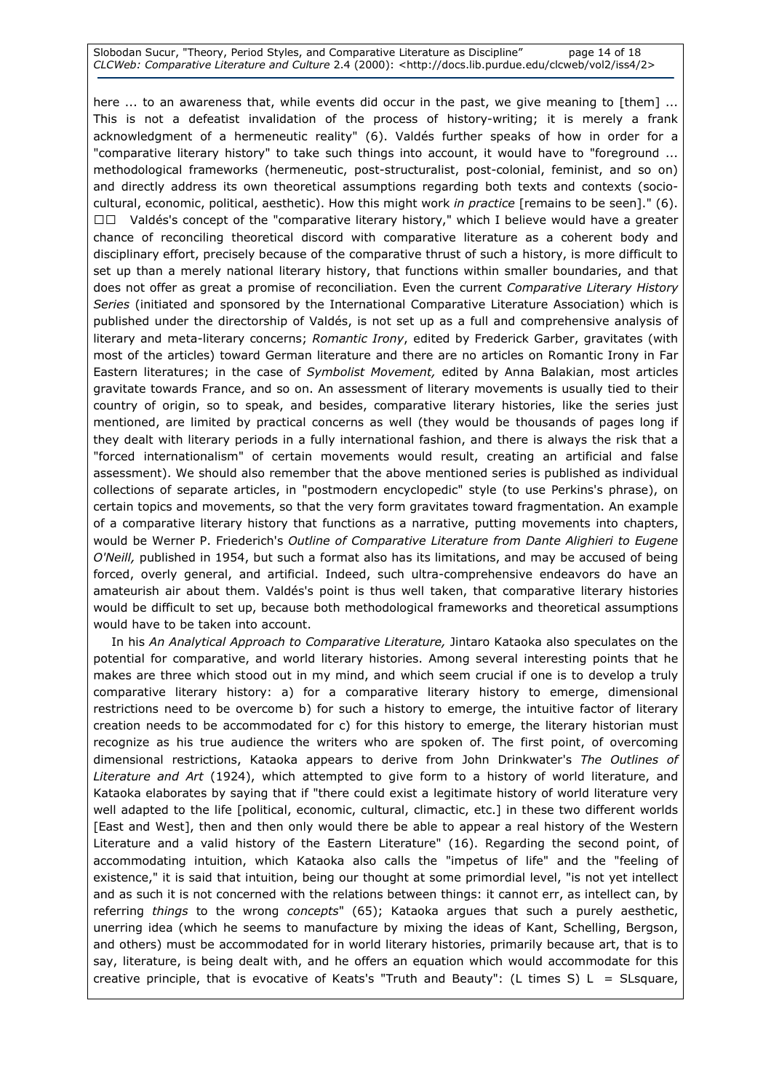Slobodan Sucur, "Theory, Period Styles, and Comparative Literature as Discipline" page 14 of 18 CLCWeb: Comparative Literature and Culture 2.4 (2000): <http://docs.lib.purdue.edu/clcweb/vol2/iss4/2>

here ... to an awareness that, while events did occur in the past, we give meaning to [them] ... This is not a defeatist invalidation of the process of history-writing; it is merely a frank acknowledgment of a hermeneutic reality" (6). Valdés further speaks of how in order for a "comparative literary history" to take such things into account, it would have to "foreground ... methodological frameworks (hermeneutic, post-structuralist, post-colonial, feminist, and so on) and directly address its own theoretical assumptions regarding both texts and contexts (sociocultural, economic, political, aesthetic). How this might work in practice [remains to be seen]." (6). RR Valdés's concept of the "comparative literary history," which I believe would have a greater chance of reconciling theoretical discord with comparative literature as a coherent body and disciplinary effort, precisely because of the comparative thrust of such a history, is more difficult to set up than a merely national literary history, that functions within smaller boundaries, and that does not offer as great a promise of reconciliation. Even the current Comparative Literary History Series (initiated and sponsored by the International Comparative Literature Association) which is published under the directorship of Valdés, is not set up as a full and comprehensive analysis of literary and meta-literary concerns; Romantic Irony, edited by Frederick Garber, gravitates (with most of the articles) toward German literature and there are no articles on Romantic Irony in Far Eastern literatures; in the case of Symbolist Movement, edited by Anna Balakian, most articles gravitate towards France, and so on. An assessment of literary movements is usually tied to their country of origin, so to speak, and besides, comparative literary histories, like the series just mentioned, are limited by practical concerns as well (they would be thousands of pages long if they dealt with literary periods in a fully international fashion, and there is always the risk that a "forced internationalism" of certain movements would result, creating an artificial and false assessment). We should also remember that the above mentioned series is published as individual collections of separate articles, in "postmodern encyclopedic" style (to use Perkins's phrase), on certain topics and movements, so that the very form gravitates toward fragmentation. An example of a comparative literary history that functions as a narrative, putting movements into chapters, would be Werner P. Friederich's Outline of Comparative Literature from Dante Alighieri to Eugene O'Neill, published in 1954, but such a format also has its limitations, and may be accused of being forced, overly general, and artificial. Indeed, such ultra-comprehensive endeavors do have an amateurish air about them. Valdés's point is thus well taken, that comparative literary histories would be difficult to set up, because both methodological frameworks and theoretical assumptions would have to be taken into account.

In his An Analytical Approach to Comparative Literature, Jintaro Kataoka also speculates on the potential for comparative, and world literary histories. Among several interesting points that he makes are three which stood out in my mind, and which seem crucial if one is to develop a truly comparative literary history: a) for a comparative literary history to emerge, dimensional restrictions need to be overcome b) for such a history to emerge, the intuitive factor of literary creation needs to be accommodated for c) for this history to emerge, the literary historian must recognize as his true audience the writers who are spoken of. The first point, of overcoming dimensional restrictions, Kataoka appears to derive from John Drinkwater's The Outlines of Literature and Art (1924), which attempted to give form to a history of world literature, and Kataoka elaborates by saying that if "there could exist a legitimate history of world literature very well adapted to the life [political, economic, cultural, climactic, etc.] in these two different worlds [East and West], then and then only would there be able to appear a real history of the Western Literature and a valid history of the Eastern Literature" (16). Regarding the second point, of accommodating intuition, which Kataoka also calls the "impetus of life" and the "feeling of existence," it is said that intuition, being our thought at some primordial level, "is not yet intellect and as such it is not concerned with the relations between things: it cannot err, as intellect can, by referring things to the wrong concepts" (65); Kataoka argues that such a purely aesthetic, unerring idea (which he seems to manufacture by mixing the ideas of Kant, Schelling, Bergson, and others) must be accommodated for in world literary histories, primarily because art, that is to say, literature, is being dealt with, and he offers an equation which would accommodate for this creative principle, that is evocative of Keats's "Truth and Beauty": (L times S)  $L = S$ Lsquare,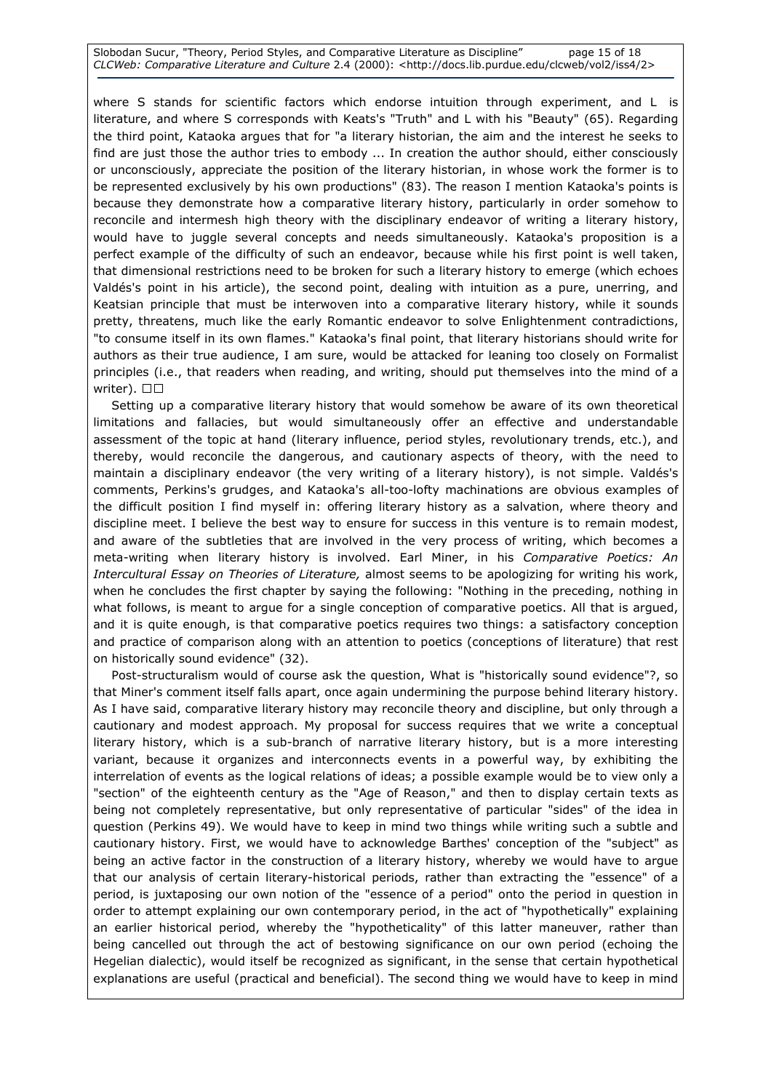Slobodan Sucur, "Theory, Period Styles, and Comparative Literature as Discipline" page 15 of 18 CLCWeb: Comparative Literature and Culture 2.4 (2000): <http://docs.lib.purdue.edu/clcweb/vol2/iss4/2>

where S stands for scientific factors which endorse intuition through experiment, and L is literature, and where S corresponds with Keats's "Truth" and L with his "Beauty" (65). Regarding the third point, Kataoka argues that for "a literary historian, the aim and the interest he seeks to find are just those the author tries to embody ... In creation the author should, either consciously or unconsciously, appreciate the position of the literary historian, in whose work the former is to be represented exclusively by his own productions" (83). The reason I mention Kataoka's points is because they demonstrate how a comparative literary history, particularly in order somehow to reconcile and intermesh high theory with the disciplinary endeavor of writing a literary history, would have to juggle several concepts and needs simultaneously. Kataoka's proposition is a perfect example of the difficulty of such an endeavor, because while his first point is well taken, that dimensional restrictions need to be broken for such a literary history to emerge (which echoes Valdés's point in his article), the second point, dealing with intuition as a pure, unerring, and Keatsian principle that must be interwoven into a comparative literary history, while it sounds pretty, threatens, much like the early Romantic endeavor to solve Enlightenment contradictions, "to consume itself in its own flames." Kataoka's final point, that literary historians should write for authors as their true audience, I am sure, would be attacked for leaning too closely on Formalist principles (i.e., that readers when reading, and writing, should put themselves into the mind of a writer). R R

 Setting up a comparative literary history that would somehow be aware of its own theoretical limitations and fallacies, but would simultaneously offer an effective and understandable assessment of the topic at hand (literary influence, period styles, revolutionary trends, etc.), and thereby, would reconcile the dangerous, and cautionary aspects of theory, with the need to maintain a disciplinary endeavor (the very writing of a literary history), is not simple. Valdés's comments, Perkins's grudges, and Kataoka's all-too-lofty machinations are obvious examples of the difficult position I find myself in: offering literary history as a salvation, where theory and discipline meet. I believe the best way to ensure for success in this venture is to remain modest, and aware of the subtleties that are involved in the very process of writing, which becomes a meta-writing when literary history is involved. Earl Miner, in his Comparative Poetics: An Intercultural Essay on Theories of Literature, almost seems to be apologizing for writing his work, when he concludes the first chapter by saying the following: "Nothing in the preceding, nothing in what follows, is meant to argue for a single conception of comparative poetics. All that is argued, and it is quite enough, is that comparative poetics requires two things: a satisfactory conception and practice of comparison along with an attention to poetics (conceptions of literature) that rest on historically sound evidence" (32).

 Post-structuralism would of course ask the question, What is "historically sound evidence"?, so that Miner's comment itself falls apart, once again undermining the purpose behind literary history. As I have said, comparative literary history may reconcile theory and discipline, but only through a cautionary and modest approach. My proposal for success requires that we write a conceptual literary history, which is a sub-branch of narrative literary history, but is a more interesting variant, because it organizes and interconnects events in a powerful way, by exhibiting the interrelation of events as the logical relations of ideas; a possible example would be to view only a "section" of the eighteenth century as the "Age of Reason," and then to display certain texts as being not completely representative, but only representative of particular "sides" of the idea in question (Perkins 49). We would have to keep in mind two things while writing such a subtle and cautionary history. First, we would have to acknowledge Barthes' conception of the "subject" as being an active factor in the construction of a literary history, whereby we would have to argue that our analysis of certain literary-historical periods, rather than extracting the "essence" of a period, is juxtaposing our own notion of the "essence of a period" onto the period in question in order to attempt explaining our own contemporary period, in the act of "hypothetically" explaining an earlier historical period, whereby the "hypotheticality" of this latter maneuver, rather than being cancelled out through the act of bestowing significance on our own period (echoing the Hegelian dialectic), would itself be recognized as significant, in the sense that certain hypothetical explanations are useful (practical and beneficial). The second thing we would have to keep in mind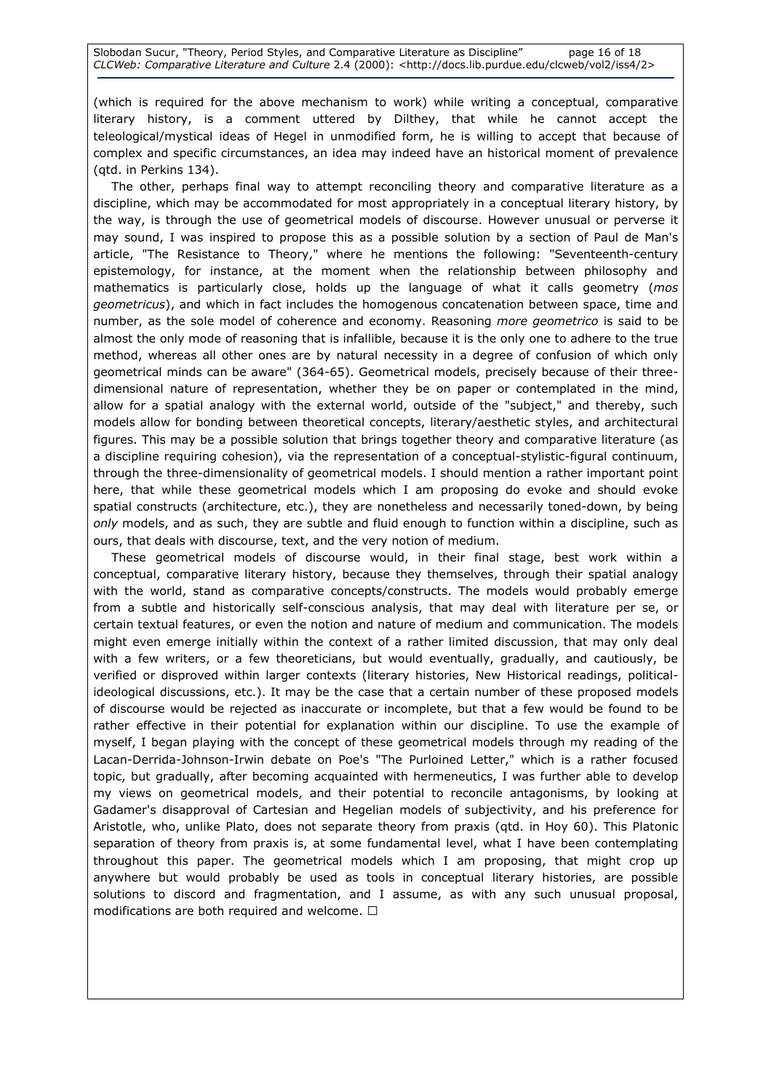(which is required for the above mechanism to work) while writing a conceptual, comparative literary history, is a comment uttered by Dilthey, that while he cannot accept the teleological/mystical ideas of Hegel in unmodified form, he is willing to accept that because of complex and specific circumstances, an idea may indeed have an historical moment of prevalence (qtd. in Perkins 134).

 The other, perhaps final way to attempt reconciling theory and comparative literature as a discipline, which may be accommodated for most appropriately in a conceptual literary history, by the way, is through the use of geometrical models of discourse. However unusual or perverse it may sound, I was inspired to propose this as a possible solution by a section of Paul de Man's article, "The Resistance to Theory," where he mentions the following: "Seventeenth-century epistemology, for instance, at the moment when the relationship between philosophy and mathematics is particularly close, holds up the language of what it calls geometry (mos geometricus), and which in fact includes the homogenous concatenation between space, time and number, as the sole model of coherence and economy. Reasoning more geometrico is said to be almost the only mode of reasoning that is infallible, because it is the only one to adhere to the true method, whereas all other ones are by natural necessity in a degree of confusion of which only geometrical minds can be aware" (364-65). Geometrical models, precisely because of their threedimensional nature of representation, whether they be on paper or contemplated in the mind, allow for a spatial analogy with the external world, outside of the "subject," and thereby, such models allow for bonding between theoretical concepts, literary/aesthetic styles, and architectural figures. This may be a possible solution that brings together theory and comparative literature (as a discipline requiring cohesion), via the representation of a conceptual-stylistic-figural continuum, through the three-dimensionality of geometrical models. I should mention a rather important point here, that while these geometrical models which I am proposing do evoke and should evoke spatial constructs (architecture, etc.), they are nonetheless and necessarily toned-down, by being only models, and as such, they are subtle and fluid enough to function within a discipline, such as ours, that deals with discourse, text, and the very notion of medium.

 These geometrical models of discourse would, in their final stage, best work within a conceptual, comparative literary history, because they themselves, through their spatial analogy with the world, stand as comparative concepts/constructs. The models would probably emerge from a subtle and historically self-conscious analysis, that may deal with literature per se, or certain textual features, or even the notion and nature of medium and communication. The models might even emerge initially within the context of a rather limited discussion, that may only deal with a few writers, or a few theoreticians, but would eventually, gradually, and cautiously, be verified or disproved within larger contexts (literary histories, New Historical readings, politicalideological discussions, etc.). It may be the case that a certain number of these proposed models of discourse would be rejected as inaccurate or incomplete, but that a few would be found to be rather effective in their potential for explanation within our discipline. To use the example of myself, I began playing with the concept of these geometrical models through my reading of the Lacan-Derrida-Johnson-Irwin debate on Poe's "The Purloined Letter," which is a rather focused topic, but gradually, after becoming acquainted with hermeneutics, I was further able to develop my views on geometrical models, and their potential to reconcile antagonisms, by looking at Gadamer's disapproval of Cartesian and Hegelian models of subjectivity, and his preference for Aristotle, who, unlike Plato, does not separate theory from praxis (qtd. in Hoy 60). This Platonic separation of theory from praxis is, at some fundamental level, what I have been contemplating throughout this paper. The geometrical models which I am proposing, that might crop up anywhere but would probably be used as tools in conceptual literary histories, are possible solutions to discord and fragmentation, and I assume, as with any such unusual proposal, modifications are both required and welcome. R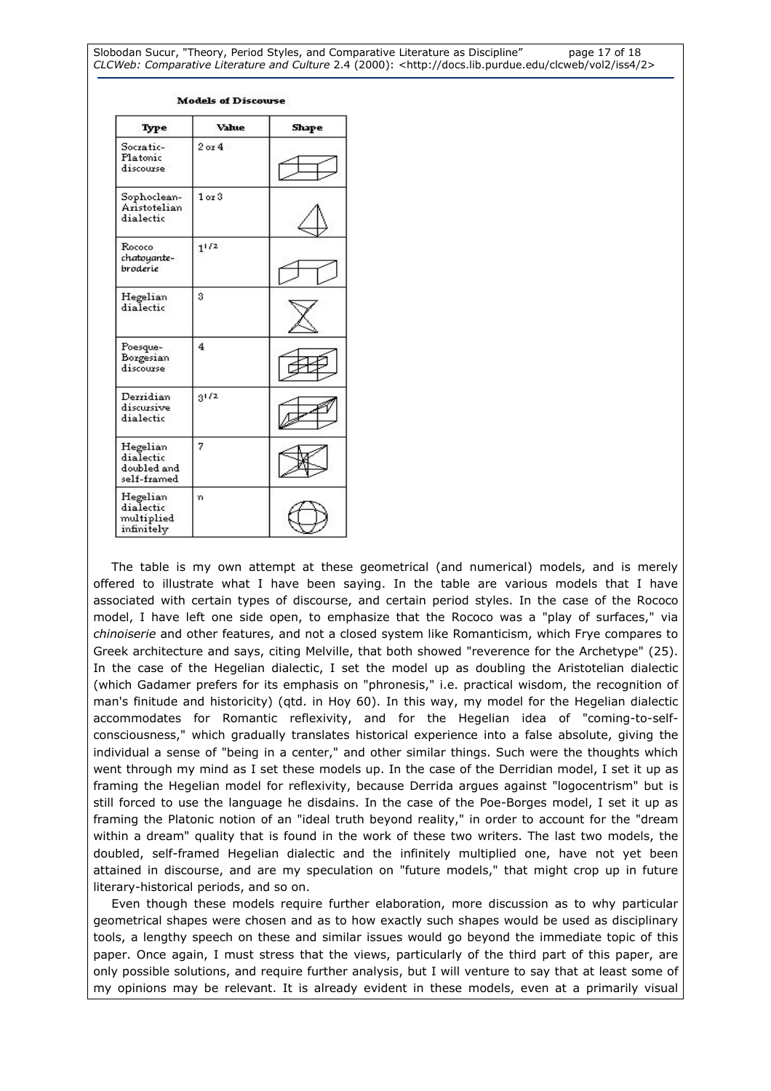Slobodan Sucur, "Theory, Period Styles, and Comparative Literature as Discipline" page 17 of 18 CLCWeb: Comparative Literature and Culture 2.4 (2000): <http://docs.lib.purdue.edu/clcweb/vol2/iss4/2>

| Type                                                | Value      | Shape |
|-----------------------------------------------------|------------|-------|
| Socratic-<br>Platonic<br>discourse                  | $2$ or $4$ |       |
| Sophoclean-<br>Aristotelian<br>dialectic            | $10$ 3     |       |
| Rococo<br>chatoyante-<br>broderie                   | $1^{1/2}$  |       |
| Hegelian<br>dialectic                               | 3          |       |
| Poesque-<br>Borgesian<br>discourse                  | 4          |       |
| Derridian<br>discursive<br>dialectic                | $3^{1/2}$  |       |
| Hegelian<br>dialectic<br>doubled and<br>self-framed | 7          |       |
| Hegelian<br>dialectic<br>multiplied<br>infinitely   | 'n         |       |

#### **Models of Discourse**

 The table is my own attempt at these geometrical (and numerical) models, and is merely offered to illustrate what I have been saying. In the table are various models that I have associated with certain types of discourse, and certain period styles. In the case of the Rococo model, I have left one side open, to emphasize that the Rococo was a "play of surfaces," via chinoiserie and other features, and not a closed system like Romanticism, which Frye compares to Greek architecture and says, citing Melville, that both showed "reverence for the Archetype" (25). In the case of the Hegelian dialectic, I set the model up as doubling the Aristotelian dialectic (which Gadamer prefers for its emphasis on "phronesis," i.e. practical wisdom, the recognition of man's finitude and historicity) (qtd. in Hoy 60). In this way, my model for the Hegelian dialectic accommodates for Romantic reflexivity, and for the Hegelian idea of "coming-to-selfconsciousness," which gradually translates historical experience into a false absolute, giving the individual a sense of "being in a center," and other similar things. Such were the thoughts which went through my mind as I set these models up. In the case of the Derridian model, I set it up as framing the Hegelian model for reflexivity, because Derrida argues against "logocentrism" but is still forced to use the language he disdains. In the case of the Poe-Borges model, I set it up as framing the Platonic notion of an "ideal truth beyond reality," in order to account for the "dream within a dream" quality that is found in the work of these two writers. The last two models, the doubled, self-framed Hegelian dialectic and the infinitely multiplied one, have not yet been attained in discourse, and are my speculation on "future models," that might crop up in future literary-historical periods, and so on.

 Even though these models require further elaboration, more discussion as to why particular geometrical shapes were chosen and as to how exactly such shapes would be used as disciplinary tools, a lengthy speech on these and similar issues would go beyond the immediate topic of this paper. Once again, I must stress that the views, particularly of the third part of this paper, are only possible solutions, and require further analysis, but I will venture to say that at least some of my opinions may be relevant. It is already evident in these models, even at a primarily visual